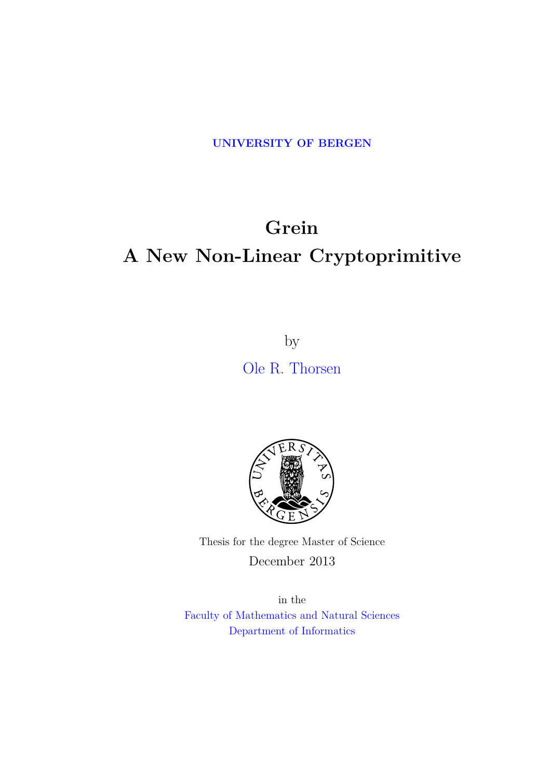**[UNIVERSITY OF BERGEN](http://www.uib.no)**

## **Grein A New Non-Linear Cryptoprimitive**

by [Ole R. Thorsen](ole.rth@gmail.com)



Thesis for the degree Master of Science December 2013

in the [Faculty of Mathematics and Natural Sciences](http://www.uib.no/matnat) [Department of Informatics](http://www.uib.no/ii)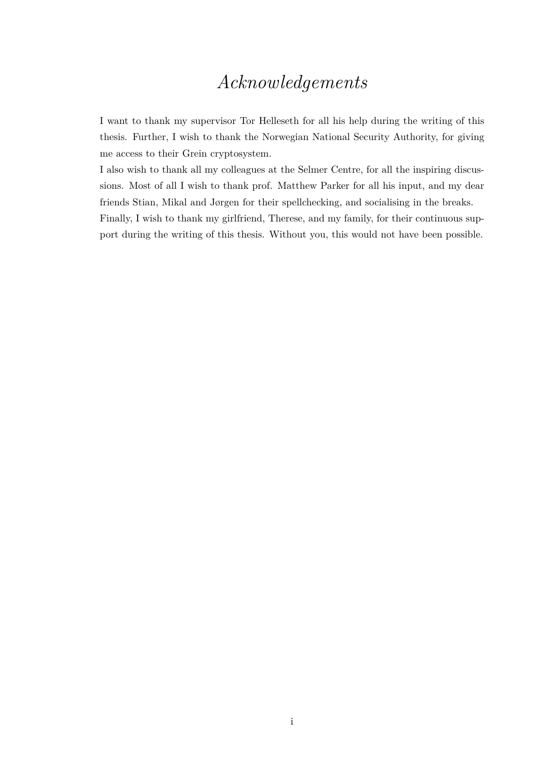## *Acknowledgements*

<span id="page-1-0"></span>I want to thank my supervisor Tor Helleseth for all his help during the writing of this thesis. Further, I wish to thank the Norwegian National Security Authority, for giving me access to their Grein cryptosystem.

I also wish to thank all my colleagues at the Selmer Centre, for all the inspiring discussions. Most of all I wish to thank prof. Matthew Parker for all his input, and my dear friends Stian, Mikal and Jørgen for their spellchecking, and socialising in the breaks. Finally, I wish to thank my girlfriend, Therese, and my family, for their continuous support during the writing of this thesis. Without you, this would not have been possible.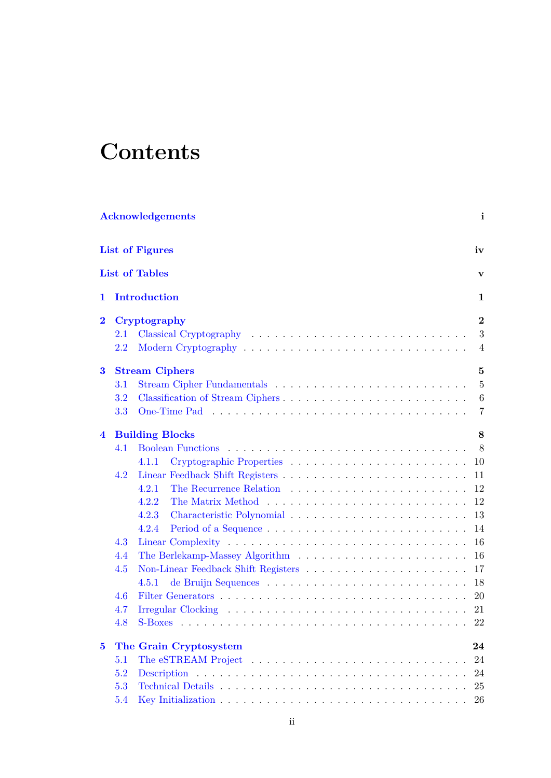## **Contents**

|                         |         | <b>Acknowledgements</b> | i              |
|-------------------------|---------|-------------------------|----------------|
|                         |         | <b>List of Figures</b>  | iv             |
|                         |         | <b>List of Tables</b>   | v              |
| 1                       |         | Introduction            | 1              |
| $\bf{2}$                |         | Cryptography            | $\overline{2}$ |
|                         | 2.1     |                         | 3              |
|                         | 2.2     |                         | $\overline{4}$ |
| 3                       |         | <b>Stream Ciphers</b>   | 5              |
|                         | 3.1     |                         | $\overline{5}$ |
|                         | $3.2\,$ |                         | 6              |
|                         | 3.3     |                         | $\overline{7}$ |
| $\overline{\mathbf{4}}$ |         | <b>Building Blocks</b>  | 8              |
|                         | 4.1     |                         | 8              |
|                         |         | 4.1.1                   | 10             |
|                         | 4.2     |                         | 11             |
|                         |         | 4.2.1                   | 12             |
|                         |         | 4.2.2                   | 12             |
|                         |         | 4.2.3                   | 13             |
|                         |         | 4.2.4                   | 14             |
|                         | 4.3     |                         | 16             |
|                         | 4.4     |                         | 16             |
|                         | 4.5     |                         | 17             |
|                         |         | 4.5.1                   | 18             |
|                         | 4.6     |                         | <b>20</b>      |
|                         | 4.7     |                         | 21             |
|                         | 4.8     |                         | <b>22</b>      |
| $\bf{5}$                |         | The Grain Cryptosystem  | 24             |
|                         | 5.1     |                         | 24             |
|                         | 5.2     |                         | 24             |
|                         | 5.3     |                         | 25             |
|                         | 5.4     |                         | 26             |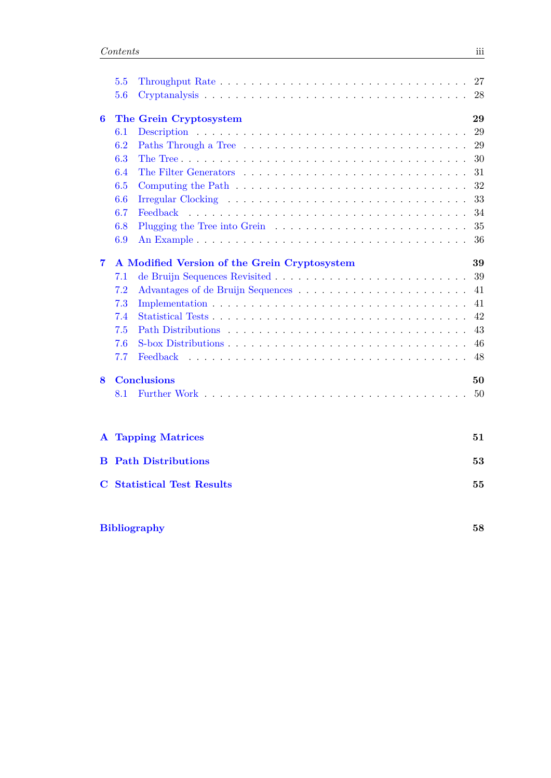|                | 5.5 |                                              | 27 |
|----------------|-----|----------------------------------------------|----|
|                | 5.6 |                                              | 28 |
| 6              |     | The Grein Cryptosystem                       | 29 |
|                | 6.1 |                                              | 29 |
|                | 6.2 |                                              | 29 |
|                | 6.3 |                                              | 30 |
|                | 6.4 |                                              | 31 |
|                | 6.5 |                                              | 32 |
|                | 6.6 |                                              | 33 |
|                | 6.7 | Feedback                                     | 34 |
|                | 6.8 |                                              | 35 |
|                | 6.9 |                                              | 36 |
| $\overline{7}$ |     | A Modified Version of the Grein Cryptosystem | 39 |
|                | 7.1 |                                              | 39 |
|                | 7.2 |                                              | 41 |
|                | 7.3 |                                              | 41 |
|                | 7.4 |                                              | 42 |
|                | 7.5 |                                              | 43 |
|                | 7.6 |                                              | 46 |
|                | 7.7 | Feedback                                     | 48 |
| 8              |     | <b>Conclusions</b>                           | 50 |
|                | 8.1 |                                              | 50 |
| $\mathbf{A}$   |     | <b>Tapping Matrices</b>                      | 51 |
| В              |     | <b>Path Distributions</b>                    | 53 |
| C              |     | <b>Statistical Test Results</b>              | 55 |
|                |     | <b>Bibliography</b>                          | 58 |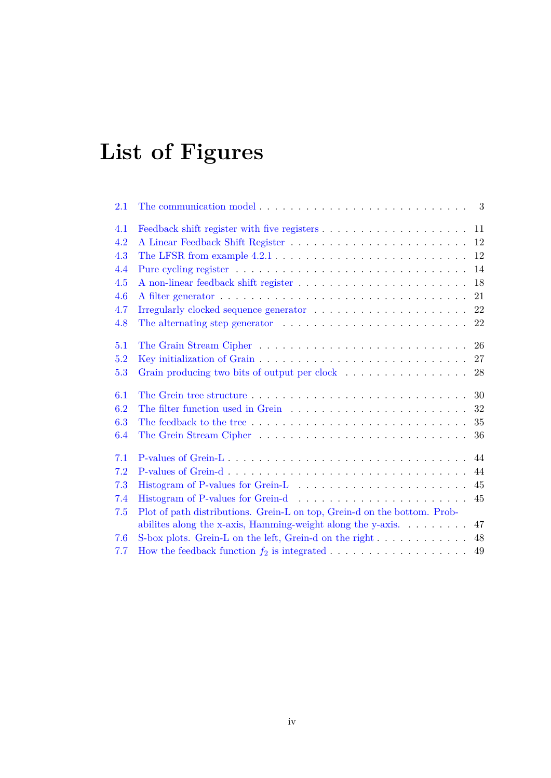# <span id="page-4-0"></span>**List of Figures**

| 2.1 | The communication model $\ldots \ldots \ldots \ldots \ldots \ldots \ldots \ldots$                                                                      |    |
|-----|--------------------------------------------------------------------------------------------------------------------------------------------------------|----|
| 4.1 |                                                                                                                                                        |    |
| 4.2 |                                                                                                                                                        |    |
| 4.3 |                                                                                                                                                        | 12 |
| 4.4 |                                                                                                                                                        | 14 |
| 4.5 |                                                                                                                                                        | 18 |
| 4.6 |                                                                                                                                                        | 21 |
| 4.7 |                                                                                                                                                        | 22 |
| 4.8 | The alternating step generator $\dots \dots \dots \dots \dots \dots \dots \dots$                                                                       | 22 |
| 5.1 |                                                                                                                                                        | 26 |
| 5.2 |                                                                                                                                                        | 27 |
| 5.3 |                                                                                                                                                        | 28 |
| 6.1 |                                                                                                                                                        | 30 |
| 6.2 | The filter function used in Grein $\ldots \ldots \ldots \ldots \ldots \ldots \ldots$                                                                   | 32 |
| 6.3 |                                                                                                                                                        | 35 |
| 6.4 |                                                                                                                                                        | 36 |
| 7.1 | P-values of Grein-L                                                                                                                                    | 44 |
| 7.2 |                                                                                                                                                        | 44 |
| 7.3 |                                                                                                                                                        | 45 |
| 7.4 |                                                                                                                                                        | 45 |
| 7.5 | Plot of path distributions. Grein-L on top, Grein-d on the bottom. Prob-<br>abilities along the x-axis, Hamming-weight along the y-axis. $\dots \dots$ | 47 |
| 7.6 | S-box plots. Grein-L on the left, Grein-d on the right                                                                                                 | 48 |
| 7.7 |                                                                                                                                                        |    |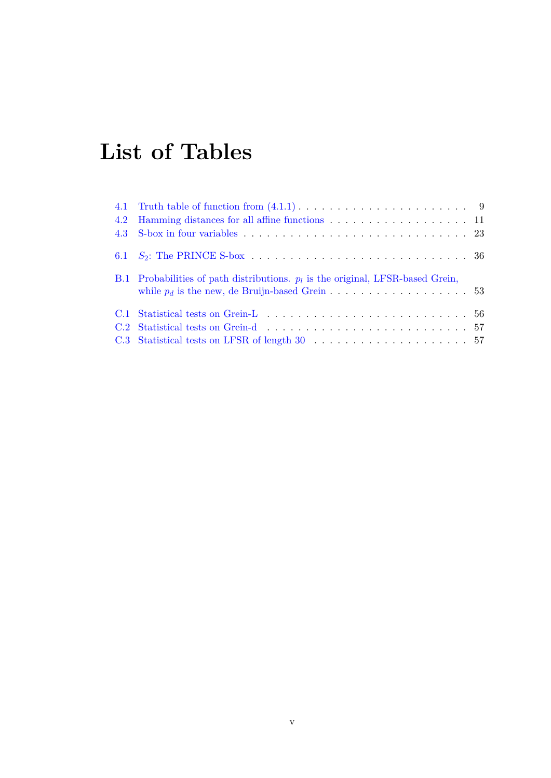## <span id="page-5-0"></span>**List of Tables**

| 4.2 | Hamming distances for all affine functions 11                                     |  |
|-----|-----------------------------------------------------------------------------------|--|
|     |                                                                                   |  |
|     |                                                                                   |  |
|     | B.1 Probabilities of path distributions. $p_l$ is the original, LFSR-based Grein, |  |
|     |                                                                                   |  |
|     |                                                                                   |  |
|     |                                                                                   |  |
|     |                                                                                   |  |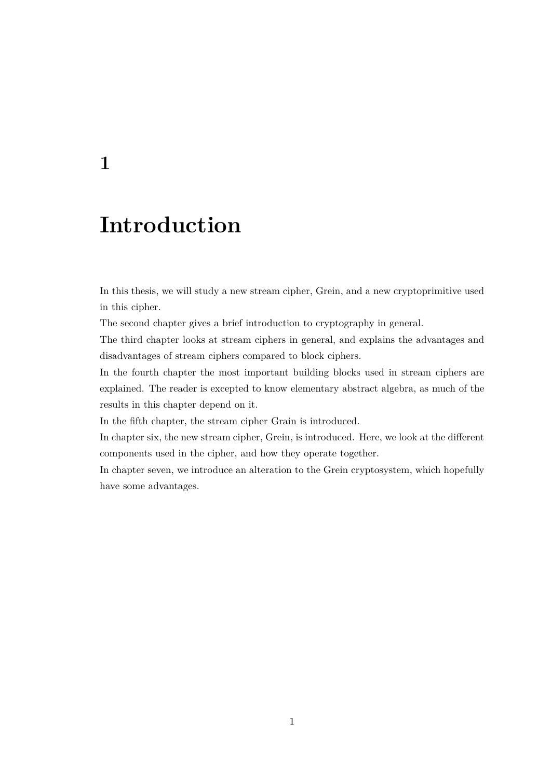## <span id="page-6-0"></span>**1**

## **Introduction**

In this thesis, we will study a new stream cipher, Grein, and a new cryptoprimitive used in this cipher.

The second chapter gives a brief introduction to cryptography in general.

The third chapter looks at stream ciphers in general, and explains the advantages and disadvantages of stream ciphers compared to block ciphers.

In the fourth chapter the most important building blocks used in stream ciphers are explained. The reader is excepted to know elementary abstract algebra, as much of the results in this chapter depend on it.

In the fifth chapter, the stream cipher Grain is introduced.

In chapter six, the new stream cipher, Grein, is introduced. Here, we look at the different components used in the cipher, and how they operate together.

In chapter seven, we introduce an alteration to the Grein cryptosystem, which hopefully have some advantages.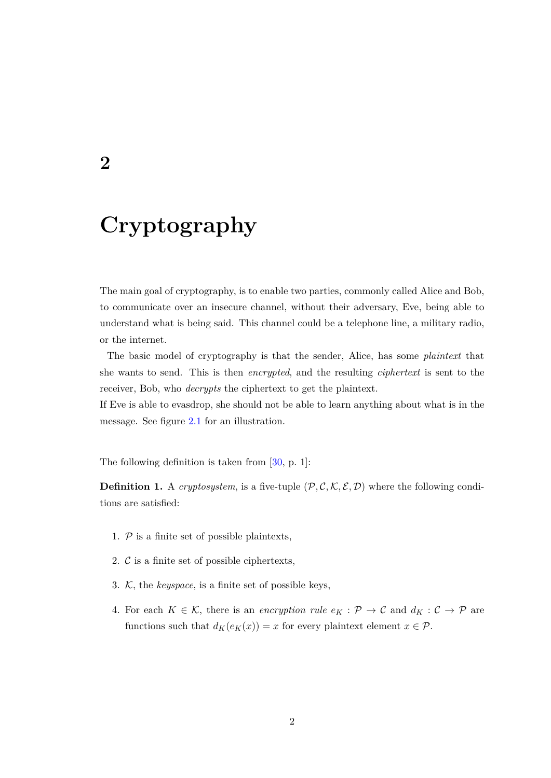## <span id="page-7-0"></span>**2**

## **Cryptography**

The main goal of cryptography, is to enable two parties, commonly called Alice and Bob, to communicate over an insecure channel, without their adversary, Eve, being able to understand what is being said. This channel could be a telephone line, a military radio, or the internet.

The basic model of cryptography is that the sender, Alice, has some *plaintext* that she wants to send. This is then *encrypted*, and the resulting *ciphertext* is sent to the receiver, Bob, who *decrypts* the ciphertext to get the plaintext.

If Eve is able to evasdrop, she should not be able to learn anything about what is in the message. See figure [2.1](#page-8-1) for an illustration.

The following definition is taken from  $[30, p. 1]$  $[30, p. 1]$ :

**Definition 1.** A *cryptosystem*, is a five-tuple  $(\mathcal{P}, \mathcal{C}, \mathcal{K}, \mathcal{E}, \mathcal{D})$  where the following conditions are satisfied:

- 1.  $P$  is a finite set of possible plaintexts,
- 2.  $\mathcal{C}$  is a finite set of possible ciphertexts,
- 3. K, the *keyspace*, is a finite set of possible keys,
- 4. For each  $K \in \mathcal{K}$ , there is an *encryption rule*  $e_K : \mathcal{P} \to \mathcal{C}$  and  $d_K : \mathcal{C} \to \mathcal{P}$  are functions such that  $d_K(e_K(x)) = x$  for every plaintext element  $x \in \mathcal{P}$ .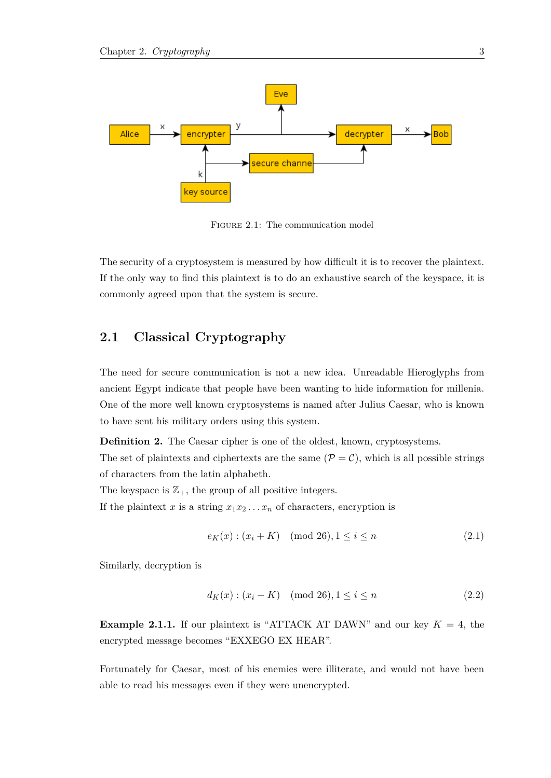<span id="page-8-1"></span>

Figure 2.1: The communication model

The security of a cryptosystem is measured by how difficult it is to recover the plaintext. If the only way to find this plaintext is to do an exhaustive search of the keyspace, it is commonly agreed upon that the system is secure.

### <span id="page-8-0"></span>**2.1 Classical Cryptography**

The need for secure communication is not a new idea. Unreadable Hieroglyphs from ancient Egypt indicate that people have been wanting to hide information for millenia. One of the more well known cryptosystems is named after Julius Caesar, who is known to have sent his military orders using this system.

**Definition 2.** The Caesar cipher is one of the oldest, known, cryptosystems.

The set of plaintexts and ciphertexts are the same  $(\mathcal{P} = \mathcal{C})$ , which is all possible strings of characters from the latin alphabeth.

The keyspace is  $\mathbb{Z}_+$ , the group of all positive integers.

If the plaintext *x* is a string  $x_1x_2...x_n$  of characters, encryption is

$$
e_K(x) : (x_i + K) \pmod{26}, 1 \le i \le n \tag{2.1}
$$

Similarly, decryption is

$$
d_K(x) : (x_i - K) \pmod{26}, 1 \le i \le n \tag{2.2}
$$

**Example 2.1.1.** If our plaintext is "ATTACK AT DAWN" and our key  $K = 4$ , the encrypted message becomes "EXXEGO EX HEAR".

Fortunately for Caesar, most of his enemies were illiterate, and would not have been able to read his messages even if they were unencrypted.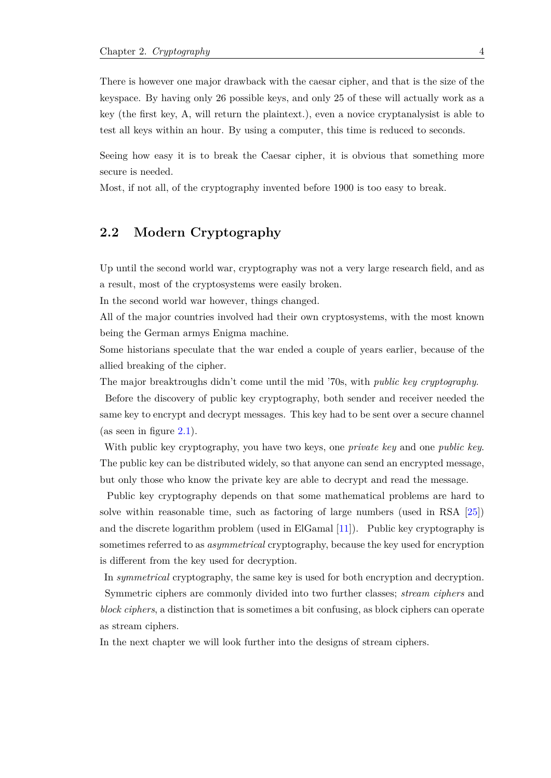There is however one major drawback with the caesar cipher, and that is the size of the keyspace. By having only 26 possible keys, and only 25 of these will actually work as a key (the first key, A, will return the plaintext.), even a novice cryptanalysist is able to test all keys within an hour. By using a computer, this time is reduced to seconds.

Seeing how easy it is to break the Caesar cipher, it is obvious that something more secure is needed.

<span id="page-9-0"></span>Most, if not all, of the cryptography invented before 1900 is too easy to break.

### **2.2 Modern Cryptography**

Up until the second world war, cryptography was not a very large research field, and as a result, most of the cryptosystems were easily broken.

In the second world war however, things changed.

All of the major countries involved had their own cryptosystems, with the most known being the German armys Enigma machine.

Some historians speculate that the war ended a couple of years earlier, because of the allied breaking of the cipher.

The major breaktroughs didn't come until the mid '70s, with *public key cryptography*.

Before the discovery of public key cryptography, both sender and receiver needed the same key to encrypt and decrypt messages. This key had to be sent over a secure channel (as seen in figure  $2.1$ ).

With public key cryptography, you have two keys, one *private key* and one *public key*. The public key can be distributed widely, so that anyone can send an encrypted message, but only those who know the private key are able to decrypt and read the message.

Public key cryptography depends on that some mathematical problems are hard to solve within reasonable time, such as factoring of large numbers (used in RSA [\[25\]](#page-64-0)) and the discrete logarithm problem (used in ElGamal [\[11\]](#page-64-1)). Public key cryptography is sometimes referred to as *asymmetrical* cryptography, because the key used for encryption is different from the key used for decryption.

In *symmetrical* cryptography, the same key is used for both encryption and decryption. Symmetric ciphers are commonly divided into two further classes; *stream ciphers* and *block ciphers*, a distinction that is sometimes a bit confusing, as block ciphers can operate as stream ciphers.

In the next chapter we will look further into the designs of stream ciphers.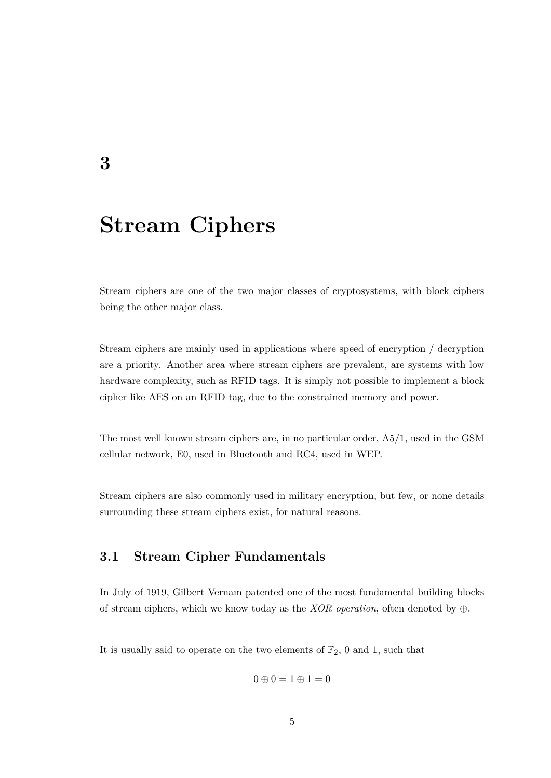## <span id="page-10-0"></span>**Stream Ciphers**

Stream ciphers are one of the two major classes of cryptosystems, with block ciphers being the other major class.

Stream ciphers are mainly used in applications where speed of encryption / decryption are a priority. Another area where stream ciphers are prevalent, are systems with low hardware complexity, such as RFID tags. It is simply not possible to implement a block cipher like AES on an RFID tag, due to the constrained memory and power.

The most well known stream ciphers are, in no particular order, A5/1, used in the GSM cellular network, E0, used in Bluetooth and RC4, used in WEP.

<span id="page-10-1"></span>Stream ciphers are also commonly used in military encryption, but few, or none details surrounding these stream ciphers exist, for natural reasons.

### **3.1 Stream Cipher Fundamentals**

In July of 1919, Gilbert Vernam patented one of the most fundamental building blocks of stream ciphers, which we know today as the *XOR operation*, often denoted by ⊕.

It is usually said to operate on the two elements of  $\mathbb{F}_2$ , 0 and 1, such that

$$
0\oplus 0=1\oplus 1=0
$$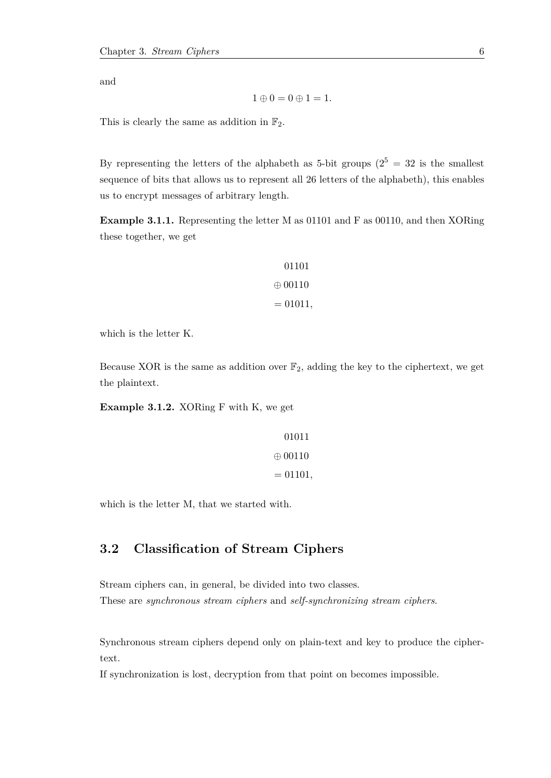and

$$
1\oplus 0=0\oplus 1=1.
$$

This is clearly the same as addition in  $\mathbb{F}_2$ .

By representing the letters of the alphabeth as 5-bit groups  $(2^5 = 32$  is the smallest sequence of bits that allows us to represent all 26 letters of the alphabeth), this enables us to encrypt messages of arbitrary length.

**Example 3.1.1.** Representing the letter M as 01101 and F as 00110, and then XORing these together, we get

$$
01101
$$
  

$$
\oplus 00110
$$
  

$$
= 01011,
$$

which is the letter K.

Because XOR is the same as addition over  $\mathbb{F}_2$ , adding the key to the ciphertext, we get the plaintext.

**Example 3.1.2.** XORing F with K, we get

$$
01011
$$
  

$$
\oplus 00110
$$
  

$$
= 01101,
$$

<span id="page-11-0"></span>which is the letter M, that we started with.

### **3.2 Classification of Stream Ciphers**

Stream ciphers can, in general, be divided into two classes. These are *synchronous stream ciphers* and *self-synchronizing stream ciphers*.

Synchronous stream ciphers depend only on plain-text and key to produce the ciphertext.

If synchronization is lost, decryption from that point on becomes impossible.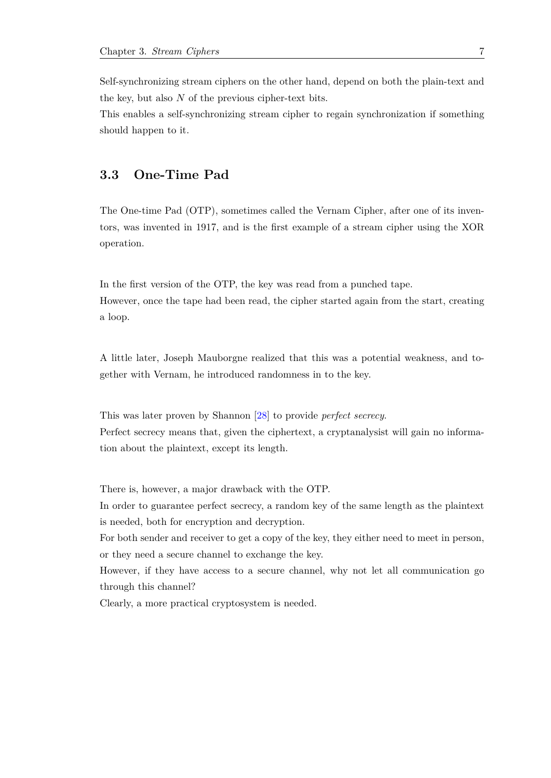Self-synchronizing stream ciphers on the other hand, depend on both the plain-text and the key, but also *N* of the previous cipher-text bits.

<span id="page-12-0"></span>This enables a self-synchronizing stream cipher to regain synchronization if something should happen to it.

### **3.3 One-Time Pad**

The One-time Pad (OTP), sometimes called the Vernam Cipher, after one of its inventors, was invented in 1917, and is the first example of a stream cipher using the XOR operation.

In the first version of the OTP, the key was read from a punched tape. However, once the tape had been read, the cipher started again from the start, creating a loop.

A little later, Joseph Mauborgne realized that this was a potential weakness, and together with Vernam, he introduced randomness in to the key.

This was later proven by Shannon [\[28\]](#page-65-1) to provide *perfect secrecy*.

Perfect secrecy means that, given the ciphertext, a cryptanalysist will gain no information about the plaintext, except its length.

There is, however, a major drawback with the OTP.

In order to guarantee perfect secrecy, a random key of the same length as the plaintext is needed, both for encryption and decryption.

For both sender and receiver to get a copy of the key, they either need to meet in person, or they need a secure channel to exchange the key.

However, if they have access to a secure channel, why not let all communication go through this channel?

Clearly, a more practical cryptosystem is needed.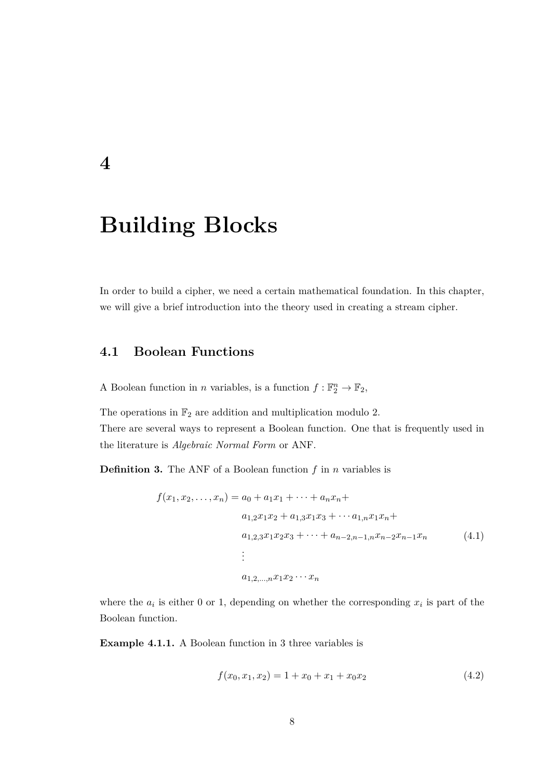## **Building Blocks**

<span id="page-13-0"></span>**4**

<span id="page-13-1"></span>In order to build a cipher, we need a certain mathematical foundation. In this chapter, we will give a brief introduction into the theory used in creating a stream cipher.

### **4.1 Boolean Functions**

A Boolean function in *n* variables, is a function  $f: \mathbb{F}_2^n \to \mathbb{F}_2$ ,

The operations in  $\mathbb{F}_2$  are addition and multiplication modulo 2. There are several ways to represent a Boolean function. One that is frequently used in the literature is *Algebraic Normal Form* or ANF.

**Definition 3.** The ANF of a Boolean function *f* in *n* variables is

$$
f(x_1, x_2, \dots, x_n) = a_0 + a_1 x_1 + \dots + a_n x_n +
$$
  
\n
$$
a_{1,2} x_1 x_2 + a_{1,3} x_1 x_3 + \dots + a_{1,n} x_1 x_n +
$$
  
\n
$$
a_{1,2,3} x_1 x_2 x_3 + \dots + a_{n-2,n-1,n} x_{n-2} x_{n-1} x_n
$$
  
\n
$$
\vdots
$$
  
\n
$$
a_{1,2,\dots,n} x_1 x_2 \dots x_n
$$
  
\n(4.1)

where the  $a_i$  is either 0 or 1, depending on whether the corresponding  $x_i$  is part of the Boolean function.

**Example 4.1.1.** A Boolean function in 3 three variables is

<span id="page-13-2"></span>
$$
f(x_0, x_1, x_2) = 1 + x_0 + x_1 + x_0 x_2 \tag{4.2}
$$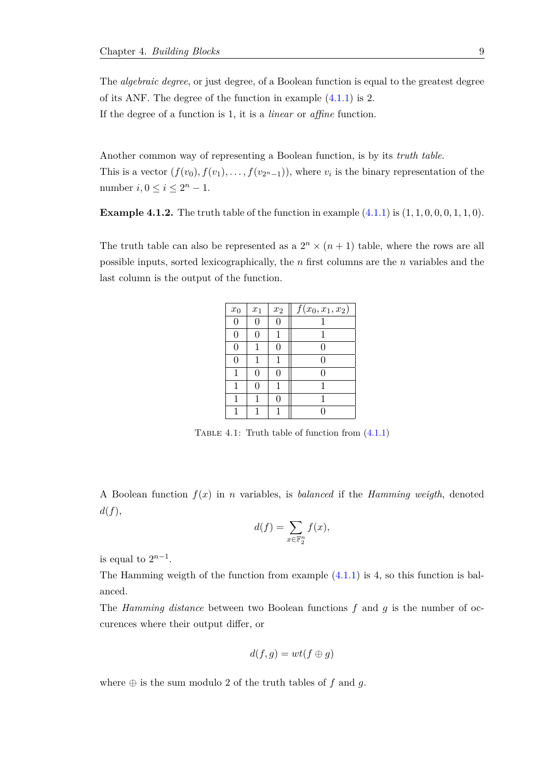The *algebraic degree*, or just degree, of a Boolean function is equal to the greatest degree of its ANF. The degree of the function in example [\(4.1.1\)](#page-13-2) is 2. If the degree of a function is 1, it is a *linear* or *affine* function.

Another common way of representing a Boolean function, is by its *truth table*. This is a vector  $(f(v_0), f(v_1), \ldots, f(v_{2^n-1}))$ , where  $v_i$  is the binary representation of the number  $i, 0 \leq i \leq 2^n - 1$ .

**Example 4.1.2.** The truth table of the function in example  $(4.1.1)$  is  $(1, 1, 0, 0, 0, 1, 1, 0)$ .

<span id="page-14-1"></span>The truth table can also be represented as a  $2^n \times (n+1)$  table, where the rows are all possible inputs, sorted lexicographically, the *n* first columns are the *n* variables and the last column is the output of the function.

| $x_0$          | $x_1$ | $x_2$    | $f(x_0, x_1, x_2)$ |
|----------------|-------|----------|--------------------|
| $\overline{0}$ | 0     | $\Omega$ |                    |
| 0              | 0     |          |                    |
| 0              | 1     | 0        | 0                  |
| 0              | 1     | 1        | 0                  |
| 1              | 0     | 0        | 0                  |
| 1              | 0     |          |                    |
| 1              | 1     | 0        | 1                  |
|                | 1     |          |                    |

TABLE 4.1: Truth table of function from  $(4.1.1)$ 

A Boolean function *f*(*x*) in *n* variables, is *balanced* if the *Hamming weigth*, denoted *d*(*f*),

$$
d(f) = \sum_{x \in \mathbb{F}_2^n} f(x),
$$

is equal to  $2^{n-1}$ .

The Hamming weigth of the function from example  $(4.1.1)$  is 4, so this function is balanced.

The *Hamming distance* between two Boolean functions *f* and *g* is the number of occurences where their output differ, or

$$
d(f,g) = wt(f \oplus g)
$$

<span id="page-14-0"></span>where  $\oplus$  is the sum modulo 2 of the truth tables of  $f$  and  $g$ .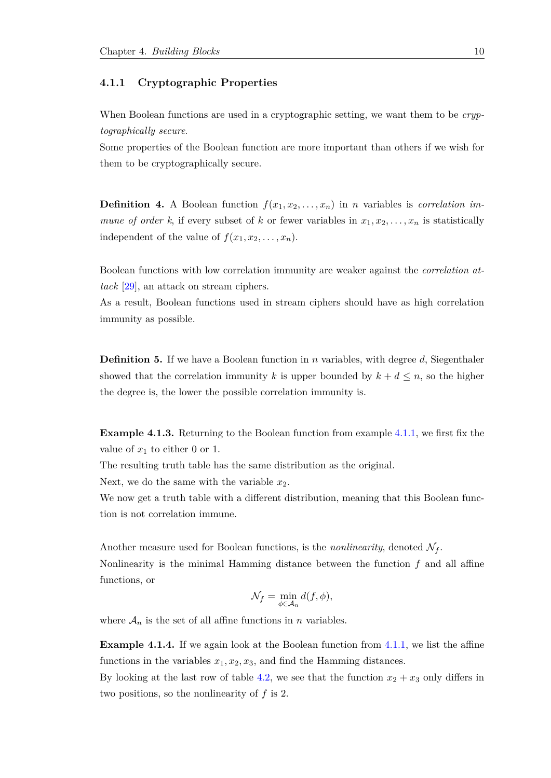#### **4.1.1 Cryptographic Properties**

When Boolean functions are used in a cryptographic setting, we want them to be *cryptographically secure*.

Some properties of the Boolean function are more important than others if we wish for them to be cryptographically secure.

**Definition 4.** A Boolean function  $f(x_1, x_2, \ldots, x_n)$  in *n* variables is *correlation immune of order k*, if every subset of *k* or fewer variables in  $x_1, x_2, \ldots, x_n$  is statistically independent of the value of  $f(x_1, x_2, \ldots, x_n)$ .

Boolean functions with low correlation immunity are weaker against the *correlation attack* [\[29\]](#page-65-2), an attack on stream ciphers.

As a result, Boolean functions used in stream ciphers should have as high correlation immunity as possible.

**Definition 5.** If we have a Boolean function in *n* variables, with degree *d*, Siegenthaler showed that the correlation immunity *k* is upper bounded by  $k + d \leq n$ , so the higher the degree is, the lower the possible correlation immunity is.

**Example 4.1.3.** Returning to the Boolean function from example [4.1.1,](#page-13-2) we first fix the value of  $x_1$  to either 0 or 1.

The resulting truth table has the same distribution as the original.

Next, we do the same with the variable  $x_2$ .

We now get a truth table with a different distribution, meaning that this Boolean function is not correlation immune.

Another measure used for Boolean functions, is the *nonlinearity*, denoted  $\mathcal{N}_f$ . Nonlinearity is the minimal Hamming distance between the function *f* and all affine functions, or

$$
\mathcal{N}_f = \min_{\phi \in \mathcal{A}_n} d(f, \phi),
$$

where  $A_n$  is the set of all affine functions in *n* variables.

**Example 4.1.4.** If we again look at the Boolean function from [4.1.1,](#page-13-2) we list the affine functions in the variables  $x_1, x_2, x_3$ , and find the Hamming distances.

By looking at the last row of table [4.2,](#page-16-3) we see that the function  $x_2 + x_3$  only differs in two positions, so the nonlinearity of *f* is 2.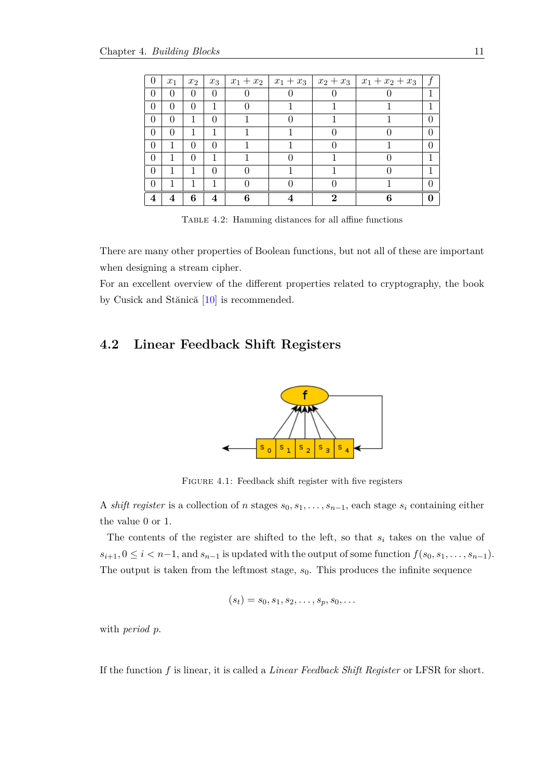<span id="page-16-3"></span>

| $\theta$       | $x_1$        | $x_2$            | $x_3$    | $x_1 + x_2$ | $x_1+x_3$ |   | $x_2 + x_3$   $x_1 + x_2 + x_3$ |  |
|----------------|--------------|------------------|----------|-------------|-----------|---|---------------------------------|--|
| $\theta$       | $\theta$     | $\theta$         | 0        |             |           |   |                                 |  |
| $\theta$       | 0            | $\left( \right)$ | 1        |             |           |   |                                 |  |
| $\Omega$       | 0            |                  | $\theta$ |             |           |   |                                 |  |
| $\theta$       | $\mathbf{0}$ |                  |          |             |           |   |                                 |  |
| $\theta$       |              | $\left( \right)$ | 0        |             |           |   |                                 |  |
| $\theta$       | 1            | $\left( \right)$ |          |             |           |   |                                 |  |
| $\Omega$       |              |                  | $\theta$ |             |           |   |                                 |  |
| $\theta$       |              |                  |          |             |           |   |                                 |  |
| $\overline{4}$ |              | 6                | 4        | հ           |           | റ |                                 |  |

Table 4.2: Hamming distances for all affine functions

There are many other properties of Boolean functions, but not all of these are important when designing a stream cipher.

<span id="page-16-0"></span>For an excellent overview of the different properties related to cryptography, the book by Cusick and Stănică  $[10]$  is recommended.

### <span id="page-16-2"></span>**4.2 Linear Feedback Shift Registers**



FIGURE 4.1: Feedback shift register with five registers

A *shift register* is a collection of *n* stages  $s_0, s_1, \ldots, s_{n-1}$ , each stage  $s_i$  containing either the value 0 or 1.

The contents of the register are shifted to the left, so that *s<sup>i</sup>* takes on the value of  $s_{i+1}$ ,  $0 \leq i < n-1$ , and  $s_{n-1}$  is updated with the output of some function  $f(s_0, s_1, \ldots, s_{n-1})$ . The output is taken from the leftmost stage,  $s_0$ . This produces the infinite sequence

$$
(s_t)=s_0,s_1,s_2,\ldots,s_p,s_0,\ldots
$$

with *period p*.

<span id="page-16-1"></span>If the function *f* is linear, it is called a *Linear Feedback Shift Register* or LFSR for short.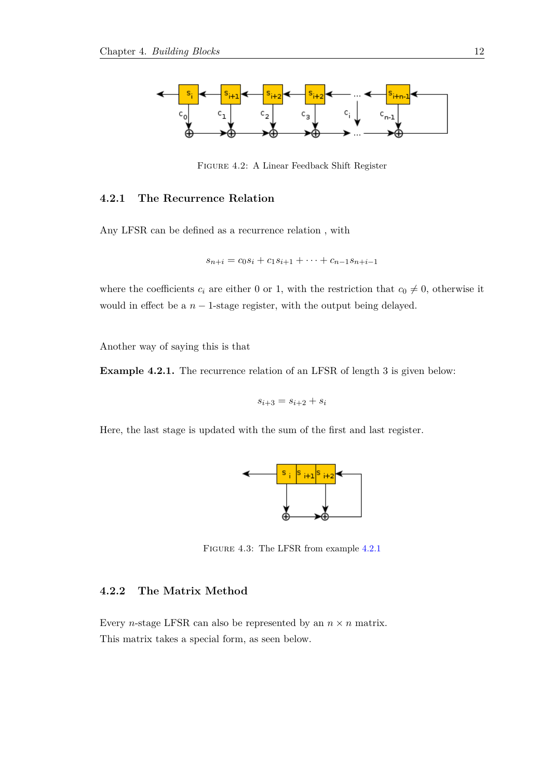<span id="page-17-1"></span>

Figure 4.2: A Linear Feedback Shift Register

#### **4.2.1 The Recurrence Relation**

Any LFSR can be defined as a recurrence relation , with

$$
s_{n+i} = c_0 s_i + c_1 s_{i+1} + \dots + c_{n-1} s_{n+i-1}
$$

where the coefficients  $c_i$  are either 0 or 1, with the restriction that  $c_0 \neq 0$ , otherwise it would in effect be a  $n - 1$ -stage register, with the output being delayed.

Another way of saying this is that

<span id="page-17-3"></span>**Example 4.2.1.** The recurrence relation of an LFSR of length 3 is given below:

$$
s_{i+3} = s_{i+2} + s_i
$$

<span id="page-17-2"></span>Here, the last stage is updated with the sum of the first and last register.



Figure 4.3: The LFSR from example [4.2.1](#page-17-3)

#### <span id="page-17-0"></span>**4.2.2 The Matrix Method**

Every *n*-stage LFSR can also be represented by an  $n \times n$  matrix. This matrix takes a special form, as seen below.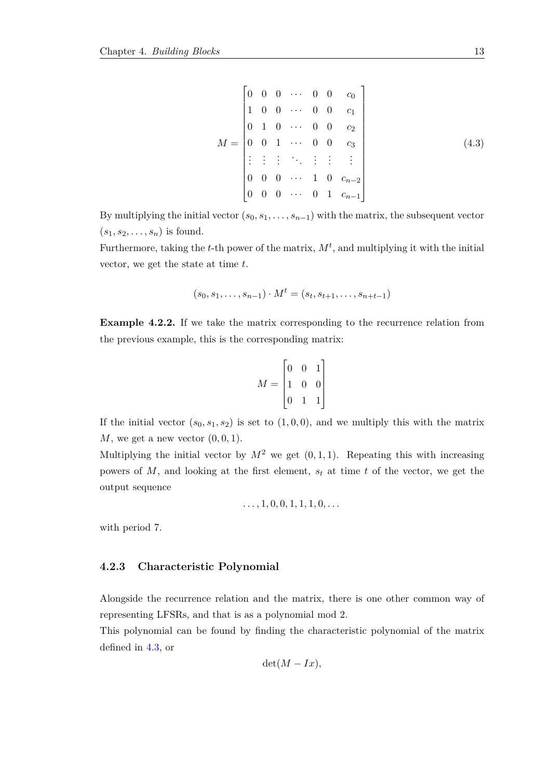<span id="page-18-1"></span>
$$
M = \begin{bmatrix} 0 & 0 & 0 & \cdots & 0 & 0 & c_0 \\ 1 & 0 & 0 & \cdots & 0 & 0 & c_1 \\ 0 & 1 & 0 & \cdots & 0 & 0 & c_2 \\ 0 & 0 & 1 & \cdots & 0 & 0 & c_3 \\ \vdots & \vdots & \vdots & \ddots & \vdots & \vdots & \vdots \\ 0 & 0 & 0 & \cdots & 1 & 0 & c_{n-2} \\ 0 & 0 & 0 & \cdots & 0 & 1 & c_{n-1} \end{bmatrix}
$$
(4.3)

By multiplying the initial vector  $(s_0, s_1, \ldots, s_{n-1})$  with the matrix, the subsequent vector  $(s_1, s_2, \ldots, s_n)$  is found.

Furthermore, taking the *t*-th power of the matrix,  $M^t$ , and multiplying it with the initial vector, we get the state at time *t*.

$$
(s_0, s_1, \dots, s_{n-1}) \cdot M^t = (s_t, s_{t+1}, \dots, s_{n+t-1})
$$

<span id="page-18-2"></span>**Example 4.2.2.** If we take the matrix corresponding to the recurrence relation from the previous example, this is the corresponding matrix:

$$
M = \begin{bmatrix} 0 & 0 & 1 \\ 1 & 0 & 0 \\ 0 & 1 & 1 \end{bmatrix}
$$

If the initial vector  $(s_0, s_1, s_2)$  is set to  $(1, 0, 0)$ , and we multiply this with the matrix *M*, we get a new vector (0*,* 0*,* 1).

Multiplying the initial vector by  $M^2$  we get  $(0,1,1)$ . Repeating this with increasing powers of *M*, and looking at the first element, *s<sup>t</sup>* at time *t* of the vector, we get the output sequence

$$
\ldots, 1, 0, 0, 1, 1, 1, 0, \ldots
$$

<span id="page-18-0"></span>with period 7.

#### **4.2.3 Characteristic Polynomial**

Alongside the recurrence relation and the matrix, there is one other common way of representing LFSRs, and that is as a polynomial mod 2.

This polynomial can be found by finding the characteristic polynomial of the matrix defined in [4.3,](#page-18-1) or

$$
\det(M - Ix),
$$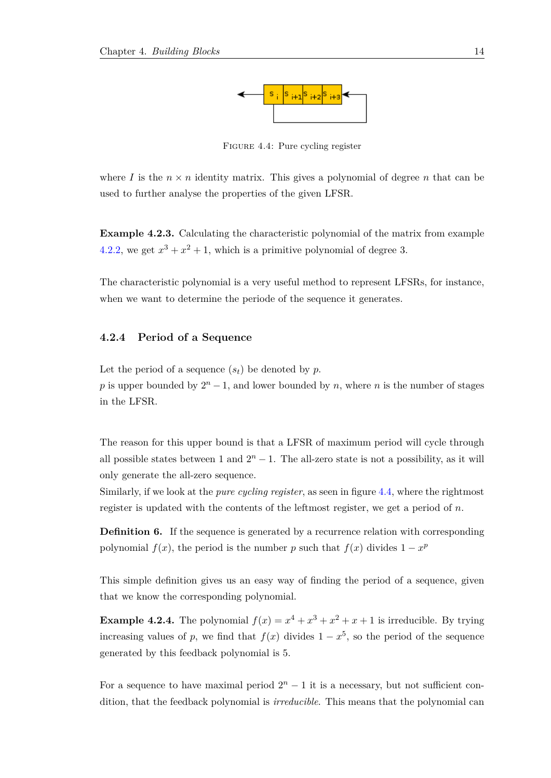

Figure 4.4: Pure cycling register

<span id="page-19-1"></span>where *I* is the  $n \times n$  identity matrix. This gives a polynomial of degree *n* that can be used to further analyse the properties of the given LFSR.

**Example 4.2.3.** Calculating the characteristic polynomial of the matrix from example [4.2.2,](#page-18-2) we get  $x^3 + x^2 + 1$ , which is a primitive polynomial of degree 3.

<span id="page-19-0"></span>The characteristic polynomial is a very useful method to represent LFSRs, for instance, when we want to determine the periode of the sequence it generates.

#### **4.2.4 Period of a Sequence**

Let the period of a sequence  $(s_t)$  be denoted by  $p$ .

*p* is upper bounded by  $2^n - 1$ , and lower bounded by *n*, where *n* is the number of stages in the LFSR.

The reason for this upper bound is that a LFSR of maximum period will cycle through all possible states between 1 and  $2<sup>n</sup> - 1$ . The all-zero state is not a possibility, as it will only generate the all-zero sequence.

Similarly, if we look at the *pure cycling register*, as seen in figure [4.4,](#page-19-1) where the rightmost register is updated with the contents of the leftmost register, we get a period of *n*.

**Definition 6.** If the sequence is generated by a recurrence relation with corresponding polynomial  $f(x)$ , the period is the number *p* such that  $f(x)$  divides  $1 - x^p$ 

This simple definition gives us an easy way of finding the period of a sequence, given that we know the corresponding polynomial.

<span id="page-19-2"></span>**Example 4.2.4.** The polynomial  $f(x) = x^4 + x^3 + x^2 + x + 1$  is irreducible. By trying increasing values of *p*, we find that  $f(x)$  divides  $1 - x^5$ , so the period of the sequence generated by this feedback polynomial is 5.

For a sequence to have maximal period  $2^n - 1$  it is a necessary, but not sufficient condition, that the feedback polynomial is *irreducible*. This means that the polynomial can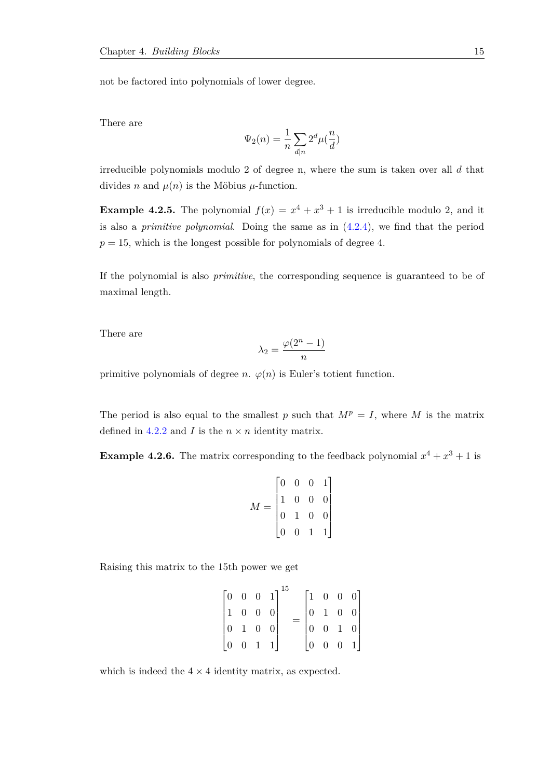not be factored into polynomials of lower degree.

There are

$$
\Psi_2(n)=\frac{1}{n}\sum_{d|n}2^d\mu(\frac{n}{d})
$$

irreducible polynomials modulo 2 of degree n, where the sum is taken over all *d* that divides *n* and  $\mu(n)$  is the Möbius  $\mu$ -function.

**Example 4.2.5.** The polynomial  $f(x) = x^4 + x^3 + 1$  is irreducible modulo 2, and it is also a *primitive polynomial*. Doing the same as in [\(4.2.4\)](#page-19-2), we find that the period  $p = 15$ , which is the longest possible for polynomials of degree 4.

If the polynomial is also *primitive*, the corresponding sequence is guaranteed to be of maximal length.

There are

$$
\lambda_2 = \frac{\varphi(2^n - 1)}{n}
$$

primitive polynomials of degree *n*.  $\varphi(n)$  is Euler's totient function.

The period is also equal to the smallest *p* such that  $M^p = I$ , where *M* is the matrix defined in [4.2.2](#page-17-0) and *I* is the  $n \times n$  identity matrix.

**Example 4.2.6.** The matrix corresponding to the feedback polynomial  $x^4 + x^3 + 1$  is

$$
M = \begin{bmatrix} 0 & 0 & 0 & 1 \\ 1 & 0 & 0 & 0 \\ 0 & 1 & 0 & 0 \\ 0 & 0 & 1 & 1 \end{bmatrix}
$$

Raising this matrix to the 15th power we get

$$
\begin{bmatrix} 0 & 0 & 0 & 1 \\ 1 & 0 & 0 & 0 \\ 0 & 1 & 0 & 0 \\ 0 & 0 & 1 & 1 \end{bmatrix}^{15} = \begin{bmatrix} 1 & 0 & 0 & 0 \\ 0 & 1 & 0 & 0 \\ 0 & 0 & 1 & 0 \\ 0 & 0 & 0 & 1 \end{bmatrix}
$$

<span id="page-20-0"></span>which is indeed the  $4 \times 4$  identity matrix, as expected.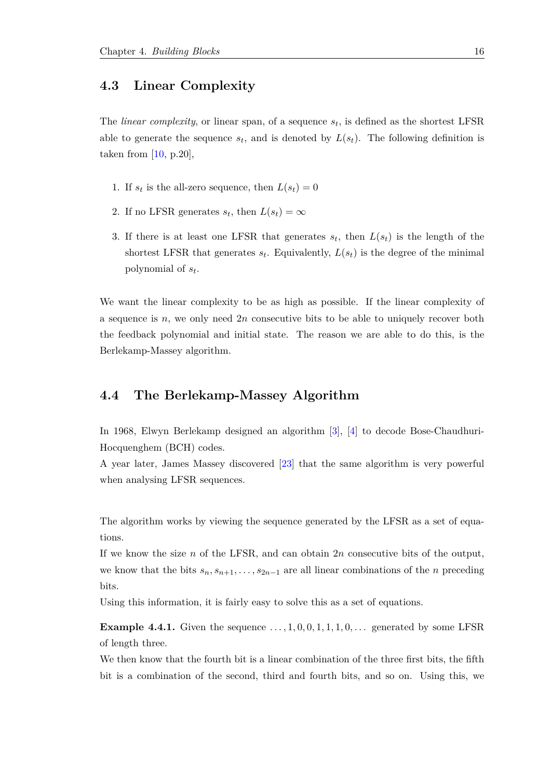#### **4.3 Linear Complexity**

The *linear complexity*, or linear span, of a sequence *s<sup>t</sup>* , is defined as the shortest LFSR able to generate the sequence  $s_t$ , and is denoted by  $L(s_t)$ . The following definition is taken from  $[10, p.20]$  $[10, p.20]$ ,

- 1. If  $s_t$  is the all-zero sequence, then  $L(s_t) = 0$
- 2. If no LFSR generates  $s_t$ , then  $L(s_t) = \infty$
- 3. If there is at least one LFSR that generates  $s_t$ , then  $L(s_t)$  is the length of the shortest LFSR that generates  $s_t$ . Equivalently,  $L(s_t)$  is the degree of the minimal polynomial of *s<sup>t</sup>* .

We want the linear complexity to be as high as possible. If the linear complexity of a sequence is *n*, we only need 2*n* consecutive bits to be able to uniquely recover both the feedback polynomial and initial state. The reason we are able to do this, is the Berlekamp-Massey algorithm.

#### <span id="page-21-0"></span>**4.4 The Berlekamp-Massey Algorithm**

In 1968, Elwyn Berlekamp designed an algorithm [\[3\]](#page-63-2), [\[4\]](#page-63-3) to decode Bose-Chaudhuri-Hocquenghem (BCH) codes.

A year later, James Massey discovered [\[23\]](#page-64-2) that the same algorithm is very powerful when analysing LFSR sequences.

The algorithm works by viewing the sequence generated by the LFSR as a set of equations.

If we know the size *n* of the LFSR, and can obtain 2*n* consecutive bits of the output, we know that the bits  $s_n, s_{n+1}, \ldots, s_{2n-1}$  are all linear combinations of the *n* preceding bits.

Using this information, it is fairly easy to solve this as a set of equations.

**Example 4.4.1.** Given the sequence  $\dots, 1, 0, 0, 1, 1, 1, 0, \dots$  generated by some LFSR of length three.

We then know that the fourth bit is a linear combination of the three first bits, the fifth bit is a combination of the second, third and fourth bits, and so on. Using this, we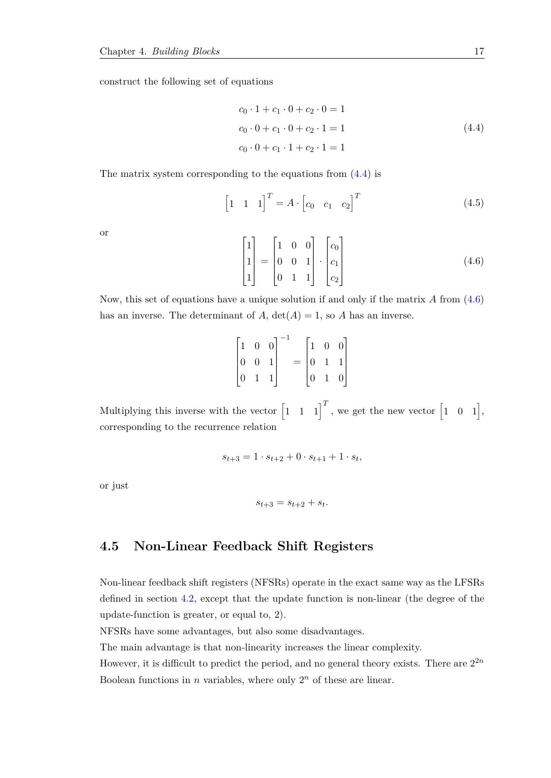<span id="page-22-1"></span>construct the following set of equations

$$
c_0 \cdot 1 + c_1 \cdot 0 + c_2 \cdot 0 = 1
$$
  
\n
$$
c_0 \cdot 0 + c_1 \cdot 0 + c_2 \cdot 1 = 1
$$
  
\n
$$
c_0 \cdot 0 + c_1 \cdot 1 + c_2 \cdot 1 = 1
$$
\n(4.4)

The matrix system corresponding to the equations from [\(4.4\)](#page-22-1) is

$$
\begin{bmatrix} 1 & 1 & 1 \end{bmatrix}^T = A \cdot \begin{bmatrix} c_0 & c_1 & c_2 \end{bmatrix}^T \tag{4.5}
$$

or

<span id="page-22-2"></span>
$$
\begin{bmatrix} 1 \\ 1 \\ 1 \end{bmatrix} = \begin{bmatrix} 1 & 0 & 0 \\ 0 & 0 & 1 \\ 0 & 1 & 1 \end{bmatrix} \cdot \begin{bmatrix} c_0 \\ c_1 \\ c_2 \end{bmatrix}
$$
 (4.6)

Now, this set of equations have a unique solution if and only if the matrix *A* from [\(4.6\)](#page-22-2) has an inverse. The determinant of  $A$ ,  $det(A) = 1$ , so  $A$  has an inverse.

|  | $\begin{bmatrix} 1 & 0 & 0 \\ 0 & 0 & 1 \\ 0 & 1 & 1 \end{bmatrix}^{-1}$ |  |  | $= \begin{bmatrix} 1 & 0 & 0 \\ 0 & 1 & 1 \\ 0 & 1 & 0 \\ \end{bmatrix}$ |
|--|--------------------------------------------------------------------------|--|--|--------------------------------------------------------------------------|
|  |                                                                          |  |  |                                                                          |
|  |                                                                          |  |  |                                                                          |

Multiplying this inverse with the vector  $\begin{bmatrix} 1 & 1 & 1 \end{bmatrix}^T$ , we get the new vector  $\begin{bmatrix} 1 & 0 & 1 \end{bmatrix}$ , corresponding to the recurrence relation

$$
s_{t+3} = 1 \cdot s_{t+2} + 0 \cdot s_{t+1} + 1 \cdot s_t,
$$

or just

$$
s_{t+3} = s_{t+2} + s_t.
$$

#### <span id="page-22-0"></span>**4.5 Non-Linear Feedback Shift Registers**

Non-linear feedback shift registers (NFSRs) operate in the exact same way as the LFSRs defined in section [4.2,](#page-16-0) except that the update function is non-linear (the degree of the update-function is greater, or equal to, 2).

NFSRs have some advantages, but also some disadvantages.

The main advantage is that non-linearity increases the linear complexity.

However, it is difficult to predict the period, and no general theory exists. There are  $2^{2n}$ Boolean functions in *n* variables, where only  $2^n$  of these are linear.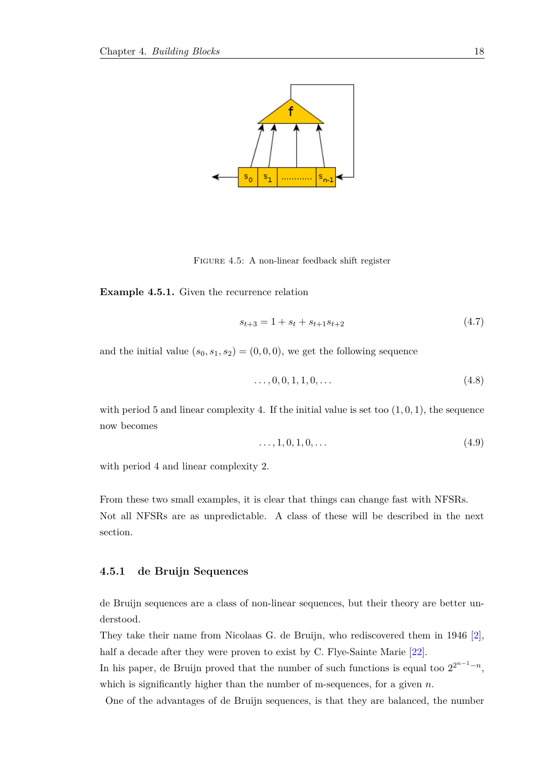<span id="page-23-1"></span>

Figure 4.5: A non-linear feedback shift register

**Example 4.5.1.** Given the recurrence relation

$$
s_{t+3} = 1 + s_t + s_{t+1} s_{t+2} \tag{4.7}
$$

and the initial value  $(s_0, s_1, s_2) = (0, 0, 0)$ , we get the following sequence

$$
\ldots, 0, 0, 1, 1, 0, \ldots \tag{4.8}
$$

with period 5 and linear complexity 4. If the initial value is set too  $(1,0,1)$ , the sequence now becomes

$$
\ldots, 1, 0, 1, 0, \ldots \tag{4.9}
$$

with period 4 and linear complexity 2.

From these two small examples, it is clear that things can change fast with NFSRs. Not all NFSRs are as unpredictable. A class of these will be described in the next section.

#### <span id="page-23-0"></span>**4.5.1 de Bruijn Sequences**

de Bruijn sequences are a class of non-linear sequences, but their theory are better understood.

They take their name from Nicolaas G. de Bruijn, who rediscovered them in 1946 [\[2\]](#page-63-4), half a decade after they were proven to exist by C. Flye-Sainte Marie [\[22\]](#page-64-3).

In his paper, de Bruijn proved that the number of such functions is equal too  $2^{2^{n-1}-n}$ , which is significantly higher than the number of m-sequences, for a given *n*.

One of the advantages of de Bruijn sequences, is that they are balanced, the number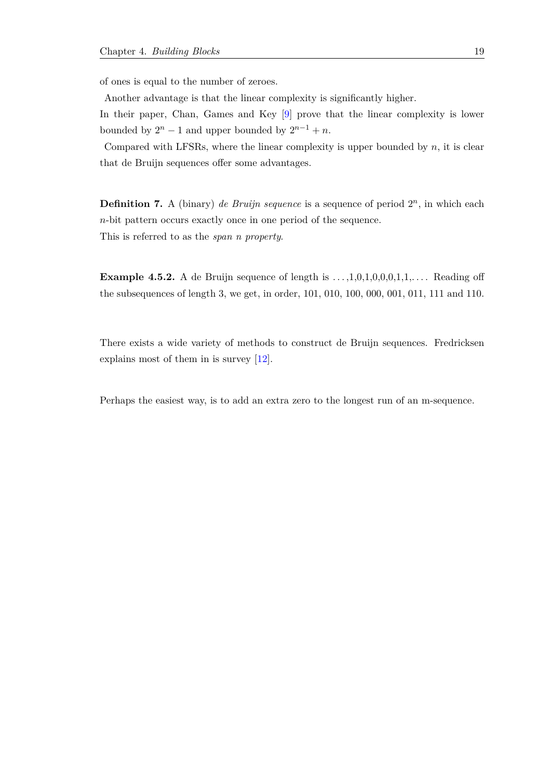of ones is equal to the number of zeroes.

Another advantage is that the linear complexity is significantly higher.

In their paper, Chan, Games and Key [\[9\]](#page-63-5) prove that the linear complexity is lower bounded by  $2^n - 1$  and upper bounded by  $2^{n-1} + n$ .

Compared with LFSRs, where the linear complexity is upper bounded by *n*, it is clear that de Bruijn sequences offer some advantages.

**Definition 7.** A (binary) *de Bruijn sequence* is a sequence of period  $2^n$ , in which each *n*-bit pattern occurs exactly once in one period of the sequence. This is referred to as the *span n property*.

**Example 4.5.2.** A de Bruijn sequence of length is  $\dots,1,0,1,0,0,0,1,1,\dots$  Reading off the subsequences of length 3, we get, in order, 101, 010, 100, 000, 001, 011, 111 and 110.

There exists a wide variety of methods to construct de Bruijn sequences. Fredricksen explains most of them in is survey [\[12\]](#page-64-4).

Perhaps the easiest way, is to add an extra zero to the longest run of an m-sequence.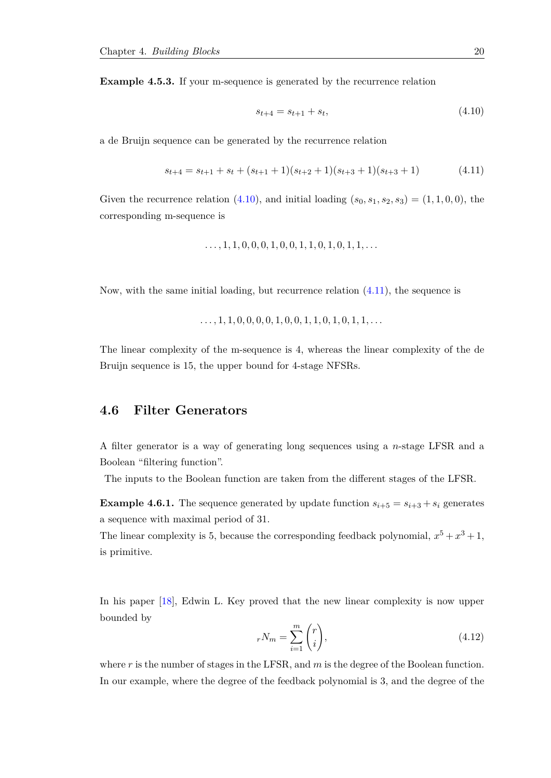**Example 4.5.3.** If your m-sequence is generated by the recurrence relation

<span id="page-25-1"></span>
$$
s_{t+4} = s_{t+1} + s_t, \tag{4.10}
$$

a de Bruijn sequence can be generated by the recurrence relation

<span id="page-25-2"></span>
$$
s_{t+4} = s_{t+1} + s_t + (s_{t+1} + 1)(s_{t+2} + 1)(s_{t+3} + 1)(s_{t+3} + 1)
$$
\n
$$
(4.11)
$$

Given the recurrence relation [\(4.10\)](#page-25-1), and initial loading  $(s_0, s_1, s_2, s_3) = (1, 1, 0, 0)$ , the corresponding m-sequence is

$$
\ldots, 1, 1, 0, 0, 0, 1, 0, 0, 1, 1, 0, 1, 0, 1, 1, \ldots
$$

Now, with the same initial loading, but recurrence relation [\(4.11\)](#page-25-2), the sequence is

*. . . ,* 1*,* 1*,* 0*,* 0*,* 0*,* 0*,* 1*,* 0*,* 0*,* 1*,* 1*,* 0*,* 1*,* 0*,* 1*,* 1*, . . .*

The linear complexity of the m-sequence is 4, whereas the linear complexity of the de Bruijn sequence is 15, the upper bound for 4-stage NFSRs.

#### <span id="page-25-0"></span>**4.6 Filter Generators**

A filter generator is a way of generating long sequences using a *n*-stage LFSR and a Boolean "filtering function".

The inputs to the Boolean function are taken from the different stages of the LFSR.

**Example 4.6.1.** The sequence generated by update function  $s_{i+5} = s_{i+3} + s_i$  generates a sequence with maximal period of 31.

The linear complexity is 5, because the corresponding feedback polynomial,  $x^5 + x^3 + 1$ , is primitive.

In his paper [\[18\]](#page-64-5), Edwin L. Key proved that the new linear complexity is now upper bounded by

$$
rN_m = \sum_{i=1}^{m} \binom{r}{i},\tag{4.12}
$$

where *r* is the number of stages in the LFSR, and *m* is the degree of the Boolean function. In our example, where the degree of the feedback polynomial is 3, and the degree of the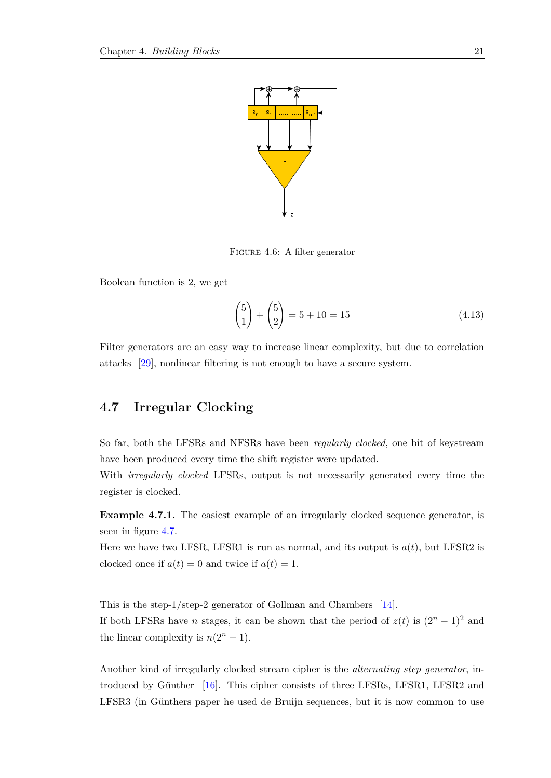<span id="page-26-1"></span>

FIGURE 4.6: A filter generator

Boolean function is 2, we get

$$
\binom{5}{1} + \binom{5}{2} = 5 + 10 = 15\tag{4.13}
$$

<span id="page-26-0"></span>Filter generators are an easy way to increase linear complexity, but due to correlation attacks [\[29\]](#page-65-2), nonlinear filtering is not enough to have a secure system.

### **4.7 Irregular Clocking**

So far, both the LFSRs and NFSRs have been *regularly clocked*, one bit of keystream have been produced every time the shift register were updated.

With *irregularly clocked* LFSRs, output is not necessarily generated every time the register is clocked.

**Example 4.7.1.** The easiest example of an irregularly clocked sequence generator, is seen in figure [4.7.](#page-27-1)

Here we have two LFSR, LFSR1 is run as normal, and its output is  $a(t)$ , but LFSR2 is clocked once if  $a(t) = 0$  and twice if  $a(t) = 1$ .

This is the step-1/step-2 generator of Gollman and Chambers [\[14\]](#page-64-6). If both LFSRs have *n* stages, it can be shown that the period of  $z(t)$  is  $(2^n - 1)^2$  and the linear complexity is  $n(2^n - 1)$ .

Another kind of irregularly clocked stream cipher is the *alternating step generator*, introduced by Günther  $[16]$ . This cipher consists of three LFSRs, LFSR1, LFSR2 and LFSR3 (in Günthers paper he used de Bruijn sequences, but it is now common to use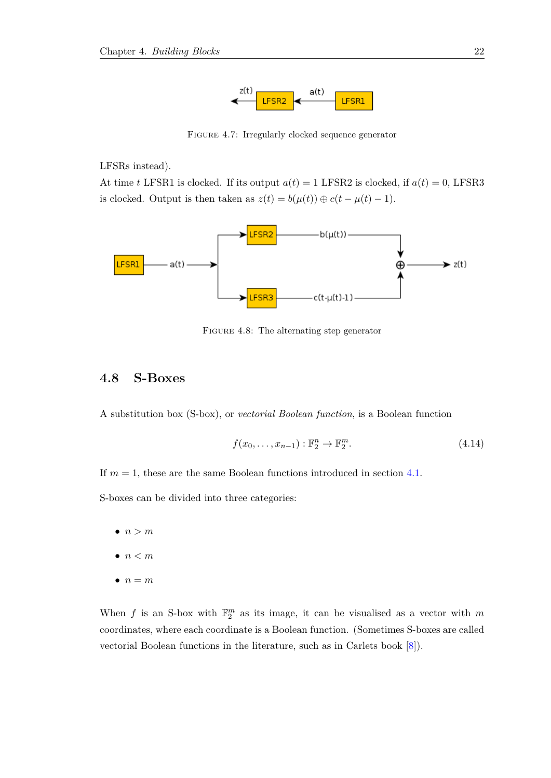

FIGURE 4.7: Irregularly clocked sequence generator

<span id="page-27-1"></span>LFSRs instead).

At time *t* LFSR1 is clocked. If its output  $a(t) = 1$  LFSR2 is clocked, if  $a(t) = 0$ , LFSR3 is clocked. Output is then taken as  $z(t) = b(\mu(t)) \oplus c(t - \mu(t) - 1)$ .

<span id="page-27-2"></span>

FIGURE 4.8: The alternating step generator

### <span id="page-27-0"></span>**4.8 S-Boxes**

A substitution box (S-box), or *vectorial Boolean function*, is a Boolean function

$$
f(x_0, \ldots, x_{n-1}) : \mathbb{F}_2^n \to \mathbb{F}_2^m.
$$
\n
$$
(4.14)
$$

If  $m = 1$ , these are the same Boolean functions introduced in section [4.1.](#page-13-1)

S-boxes can be divided into three categories:

- $\bullet$   $n > m$
- $n < m$
- $\bullet$   $n = m$

When *f* is an S-box with  $\mathbb{F}_2^m$  as its image, it can be visualised as a vector with *m* coordinates, where each coordinate is a Boolean function. (Sometimes S-boxes are called vectorial Boolean functions in the literature, such as in Carlets book [\[8\]](#page-63-6)).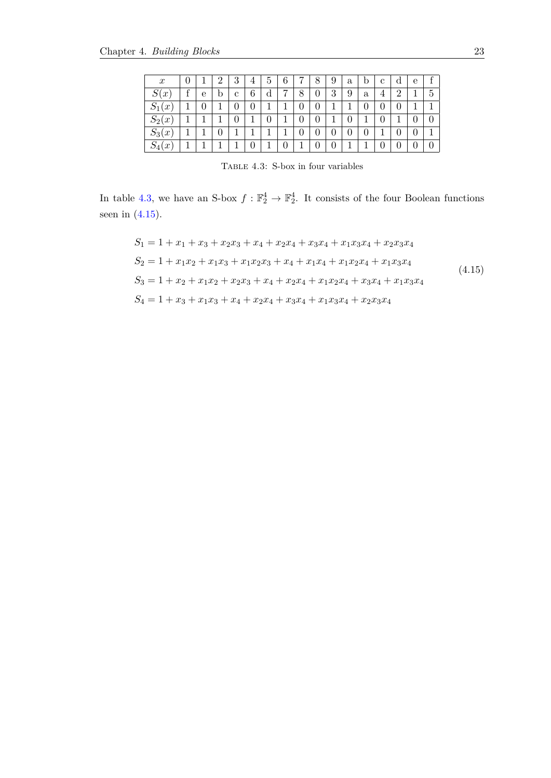<span id="page-28-0"></span>

| $\boldsymbol{x}$       |            |   | າ | 3 |   | 5 | 6 | $\overline{ }$ | 8 | 9 | $\mathbf{a}$ | b            | с | d              | e |   |
|------------------------|------------|---|---|---|---|---|---|----------------|---|---|--------------|--------------|---|----------------|---|---|
| S(<br>$\boldsymbol{x}$ | $\epsilon$ | е | D | с | 6 | d | ⇁ | 8              | 0 | 3 | 9            | $\mathbf{a}$ | 4 | $\overline{2}$ | ы | 5 |
| $S_1($<br>(x)          |            |   |   |   |   |   |   |                | J |   |              | 0            |   |                |   |   |
| $S_2(x)$               | -1         |   |   |   |   |   |   |                | J |   |              |              |   |                |   |   |
| $S_3(x)$               |            |   |   |   |   |   |   | J              | J | J | U            | 0            |   |                |   |   |
| $S_4(x)$               | -1         |   |   |   |   |   |   |                |   |   | -1           |              |   |                |   |   |

TABLE 4.3: S-box in four variables

In table [4.3,](#page-28-0) we have an S-box  $f : \mathbb{F}_2^4 \to \mathbb{F}_2^4$ . It consists of the four Boolean functions seen in  $(4.15)$ .

<span id="page-28-1"></span>
$$
S_1 = 1 + x_1 + x_3 + x_2x_3 + x_4 + x_2x_4 + x_3x_4 + x_1x_3x_4 + x_2x_3x_4
$$
  
\n
$$
S_2 = 1 + x_1x_2 + x_1x_3 + x_1x_2x_3 + x_4 + x_1x_4 + x_1x_2x_4 + x_1x_3x_4
$$
  
\n
$$
S_3 = 1 + x_2 + x_1x_2 + x_2x_3 + x_4 + x_2x_4 + x_1x_2x_4 + x_3x_4 + x_1x_3x_4
$$
  
\n
$$
S_4 = 1 + x_3 + x_1x_3 + x_4 + x_2x_4 + x_3x_4 + x_1x_3x_4 + x_2x_3x_4
$$
\n(4.15)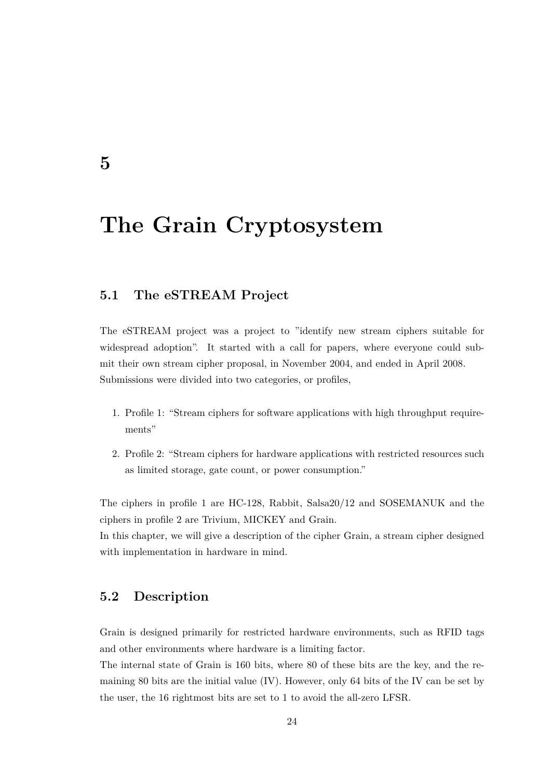## **The Grain Cryptosystem**

### <span id="page-29-1"></span>**5.1 The eSTREAM Project**

The eSTREAM project was a project to "identify new stream ciphers suitable for widespread adoption". It started with a call for papers, where everyone could submit their own stream cipher proposal, in November 2004, and ended in April 2008. Submissions were divided into two categories, or profiles,

- 1. Profile 1: "Stream ciphers for software applications with high throughput requirements"
- 2. Profile 2: "Stream ciphers for hardware applications with restricted resources such as limited storage, gate count, or power consumption."

The ciphers in profile 1 are HC-128, Rabbit, Salsa20/12 and SOSEMANUK and the ciphers in profile 2 are Trivium, MICKEY and Grain.

<span id="page-29-2"></span>In this chapter, we will give a description of the cipher Grain, a stream cipher designed with implementation in hardware in mind.

### **5.2 Description**

Grain is designed primarily for restricted hardware environments, such as RFID tags and other environments where hardware is a limiting factor.

The internal state of Grain is 160 bits, where 80 of these bits are the key, and the remaining 80 bits are the initial value (IV). However, only 64 bits of the IV can be set by the user, the 16 rightmost bits are set to 1 to avoid the all-zero LFSR.

<span id="page-29-0"></span>**5**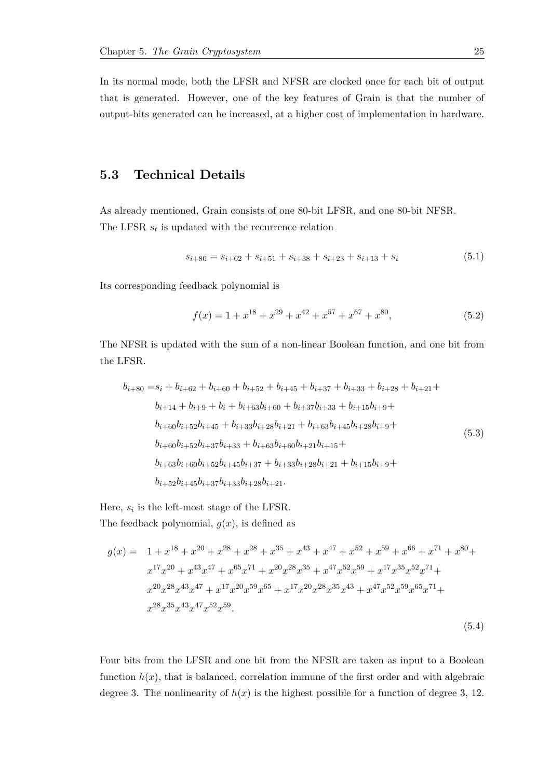In its normal mode, both the LFSR and NFSR are clocked once for each bit of output that is generated. However, one of the key features of Grain is that the number of output-bits generated can be increased, at a higher cost of implementation in hardware.

#### <span id="page-30-0"></span>**5.3 Technical Details**

As already mentioned, Grain consists of one 80-bit LFSR, and one 80-bit NFSR. The LFSR *s<sup>t</sup>* is updated with the recurrence relation

<span id="page-30-1"></span>
$$
s_{i+80} = s_{i+62} + s_{i+51} + s_{i+38} + s_{i+23} + s_{i+13} + s_i \tag{5.1}
$$

Its corresponding feedback polynomial is

$$
f(x) = 1 + x^{18} + x^{29} + x^{42} + x^{57} + x^{67} + x^{80},
$$
\n(5.2)

The NFSR is updated with the sum of a non-linear Boolean function, and one bit from the LFSR.

$$
b_{i+80} = s_i + b_{i+62} + b_{i+60} + b_{i+52} + b_{i+45} + b_{i+37} + b_{i+33} + b_{i+28} + b_{i+21} +
$$
  
\n
$$
b_{i+14} + b_{i+9} + b_i + b_{i+63}b_{i+60} + b_{i+37}b_{i+33} + b_{i+15}b_{i+9} +
$$
  
\n
$$
b_{i+60}b_{i+52}b_{i+45} + b_{i+33}b_{i+28}b_{i+21} + b_{i+63}b_{i+45}b_{i+28}b_{i+9} +
$$
  
\n
$$
b_{i+60}b_{i+52}b_{i+37}b_{i+33} + b_{i+63}b_{i+60}b_{i+21}b_{i+15} +
$$
  
\n
$$
b_{i+63}b_{i+60}b_{i+52}b_{i+45}b_{i+37} + b_{i+33}b_{i+28}b_{i+21} + b_{i+15}b_{i+9} +
$$
  
\n
$$
b_{i+52}b_{i+45}b_{i+37}b_{i+33}b_{i+28}b_{i+21}.
$$
 (5.3)

Here,  $s_i$  is the left-most stage of the LFSR.

The feedback polynomial,  $q(x)$ , is defined as

$$
g(x) = 1 + x^{18} + x^{20} + x^{28} + x^{28} + x^{35} + x^{43} + x^{47} + x^{52} + x^{59} + x^{66} + x^{71} + x^{80} + x^{17}x^{20} + x^{43}x^{47} + x^{65}x^{71} + x^{20}x^{28}x^{35} + x^{47}x^{52}x^{59} + x^{17}x^{35}x^{52}x^{71} + x^{20}x^{28}x^{43}x^{47} + x^{17}x^{20}x^{59}x^{65} + x^{17}x^{20}x^{28}x^{35}x^{43} + x^{47}x^{52}x^{59}x^{65}x^{71} + x^{28}x^{35}x^{43}x^{47}x^{52}x^{59}.
$$
\n
$$
(5.4)
$$

Four bits from the LFSR and one bit from the NFSR are taken as input to a Boolean function  $h(x)$ , that is balanced, correlation immune of the first order and with algebraic degree 3. The nonlinearity of  $h(x)$  is the highest possible for a function of degree 3, 12.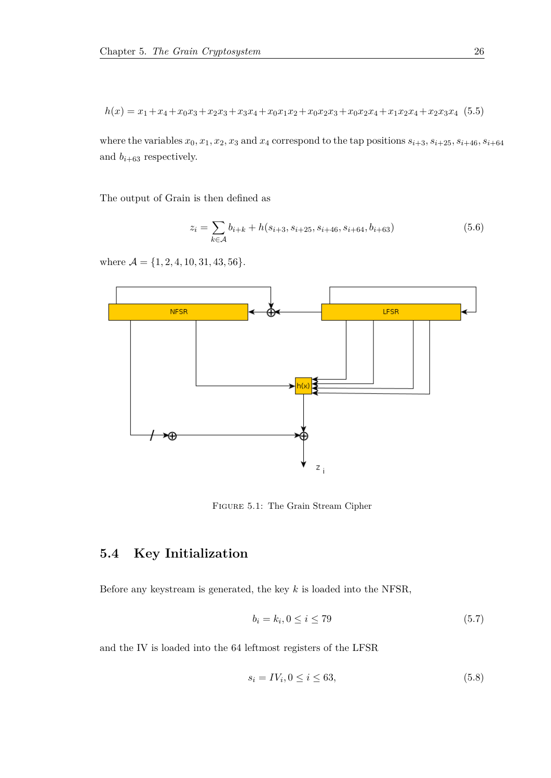$h(x) = x_1 + x_4 + x_0x_3 + x_2x_3 + x_3x_4 + x_0x_1x_2 + x_0x_2x_3 + x_0x_2x_4 + x_1x_2x_4 + x_2x_3x_4$  (5.5)

where the variables  $x_0, x_1, x_2, x_3$  and  $x_4$  correspond to the tap positions  $s_{i+3}, s_{i+25}, s_{i+46}, s_{i+64}$ and  $b_{i+63}$  respectively.

The output of Grain is then defined as

$$
z_i = \sum_{k \in \mathcal{A}} b_{i+k} + h(s_{i+3}, s_{i+25}, s_{i+46}, s_{i+64}, b_{i+63})
$$
(5.6)

where  $\mathcal{A} = \{1, 2, 4, 10, 31, 43, 56\}.$ 

<span id="page-31-1"></span>

Figure 5.1: The Grain Stream Cipher

## <span id="page-31-0"></span>**5.4 Key Initialization**

Before any keystream is generated, the key *k* is loaded into the NFSR,

$$
b_i = k_i, 0 \le i \le 79 \tag{5.7}
$$

and the IV is loaded into the 64 leftmost registers of the LFSR

$$
s_i = IV_i, 0 \le i \le 63,\tag{5.8}
$$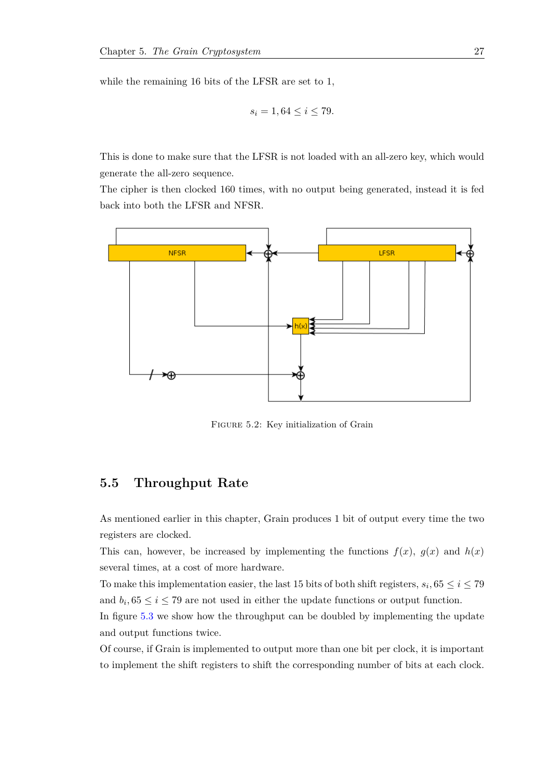while the remaining 16 bits of the LFSR are set to 1,

$$
s_i = 1, 64 \le i \le 79.
$$

This is done to make sure that the LFSR is not loaded with an all-zero key, which would generate the all-zero sequence.

The cipher is then clocked 160 times, with no output being generated, instead it is fed back into both the LFSR and NFSR.

<span id="page-32-2"></span>

FIGURE 5.2: Key initialization of Grain

#### <span id="page-32-0"></span>**5.5 Throughput Rate**

As mentioned earlier in this chapter, Grain produces 1 bit of output every time the two registers are clocked.

This can, however, be increased by implementing the functions  $f(x)$ ,  $g(x)$  and  $h(x)$ several times, at a cost of more hardware.

To make this implementation easier, the last 15 bits of both shift registers,  $s_i$ ,  $65 \le i \le 79$ and  $b_i$ ,  $65 \le i \le 79$  are not used in either the update functions or output function.

In figure [5.3](#page-33-0) we show how the throughput can be doubled by implementing the update and output functions twice.

<span id="page-32-1"></span>Of course, if Grain is implemented to output more than one bit per clock, it is important to implement the shift registers to shift the corresponding number of bits at each clock.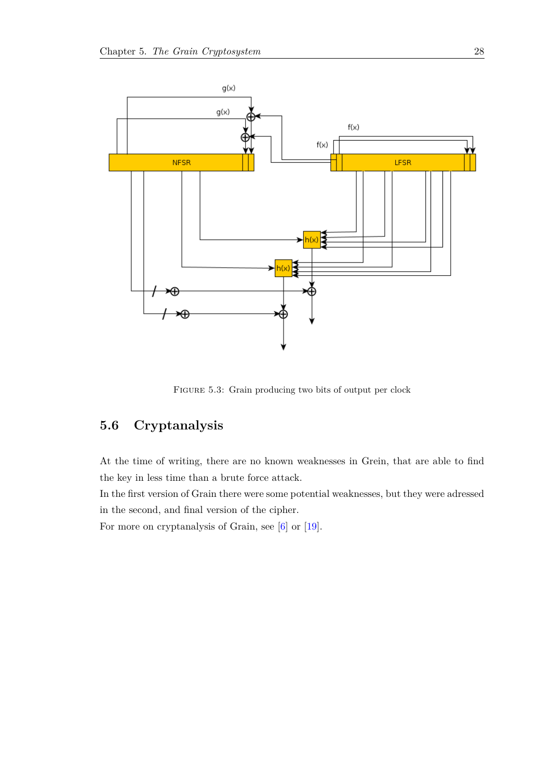<span id="page-33-0"></span>

FIGURE 5.3: Grain producing two bits of output per clock

## **5.6 Cryptanalysis**

At the time of writing, there are no known weaknesses in Grein, that are able to find the key in less time than a brute force attack.

In the first version of Grain there were some potential weaknesses, but they were adressed in the second, and final version of the cipher.

For more on cryptanalysis of Grain, see [\[6\]](#page-63-7) or [\[19\]](#page-64-8).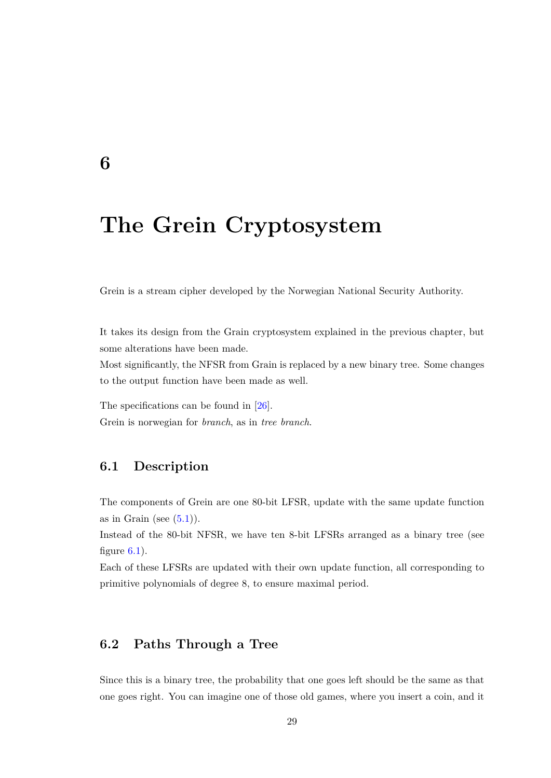## **The Grein Cryptosystem**

Grein is a stream cipher developed by the Norwegian National Security Authority.

It takes its design from the Grain cryptosystem explained in the previous chapter, but some alterations have been made.

Most significantly, the NFSR from Grain is replaced by a new binary tree. Some changes to the output function have been made as well.

<span id="page-34-1"></span>The specifications can be found in [\[26\]](#page-65-3). Grein is norwegian for *branch*, as in *tree branch*.

### **6.1 Description**

The components of Grein are one 80-bit LFSR, update with the same update function as in Grain (see  $(5.1)$ ).

Instead of the 80-bit NFSR, we have ten 8-bit LFSRs arranged as a binary tree (see figure  $6.1$ ).

Each of these LFSRs are updated with their own update function, all corresponding to primitive polynomials of degree 8, to ensure maximal period.

## <span id="page-34-2"></span>**6.2 Paths Through a Tree**

Since this is a binary tree, the probability that one goes left should be the same as that one goes right. You can imagine one of those old games, where you insert a coin, and it

<span id="page-34-0"></span>**6**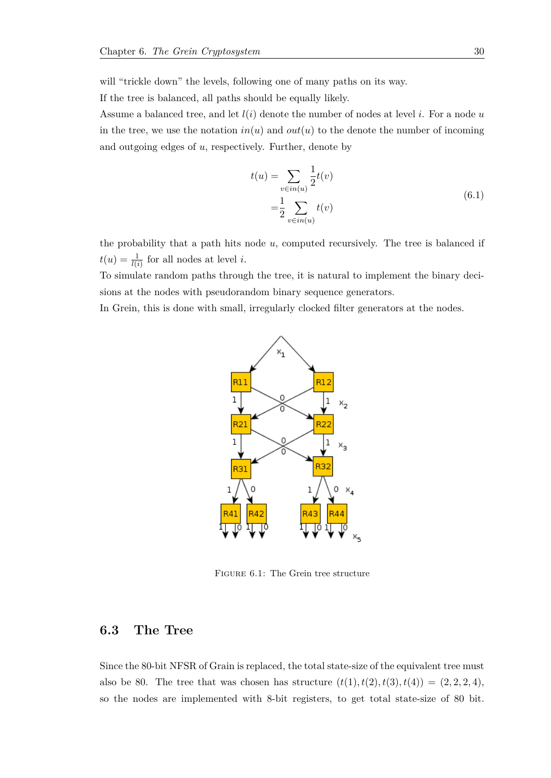will "trickle down" the levels, following one of many paths on its way.

If the tree is balanced, all paths should be equally likely.

Assume a balanced tree, and let *l*(*i*) denote the number of nodes at level *i*. For a node *u* in the tree, we use the notation  $in(u)$  and  $out(u)$  to the denote the number of incoming and outgoing edges of *u*, respectively. Further, denote by

$$
t(u) = \sum_{v \in in(u)} \frac{1}{2} t(v)
$$
  
=  $\frac{1}{2} \sum_{v \in in(u)} t(v)$  (6.1)

the probability that a path hits node *u*, computed recursively. The tree is balanced if  $t(u) = \frac{1}{l(i)}$  for all nodes at level *i*.

To simulate random paths through the tree, it is natural to implement the binary decisions at the nodes with pseudorandom binary sequence generators.

<span id="page-35-1"></span>In Grein, this is done with small, irregularly clocked filter generators at the nodes.



Figure 6.1: The Grein tree structure

### <span id="page-35-0"></span>**6.3 The Tree**

Since the 80-bit NFSR of Grain is replaced, the total state-size of the equivalent tree must also be 80. The tree that was chosen has structure  $(t(1), t(2), t(3), t(4)) = (2, 2, 2, 4)$ , so the nodes are implemented with 8-bit registers, to get total state-size of 80 bit.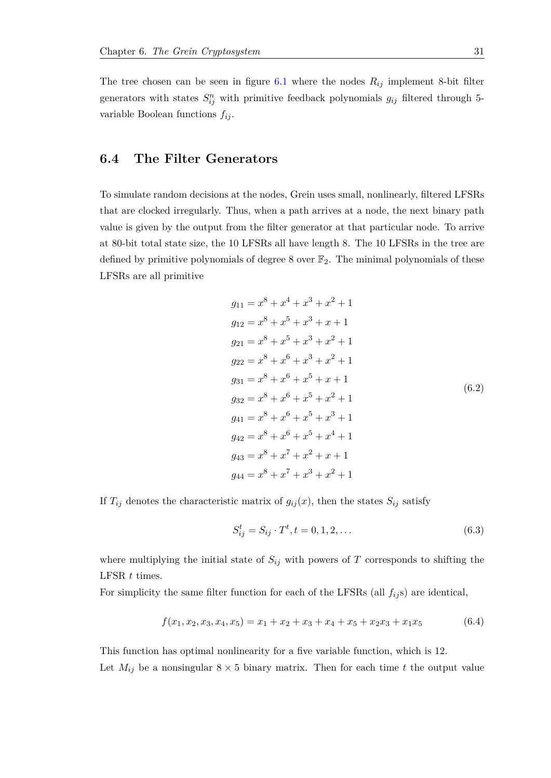The tree chosen can be seen in figure  $6.1$  where the nodes  $R_{ij}$  implement 8-bit filter generators with states  $S_{ij}^n$  with primitive feedback polynomials  $g_{ij}$  filtered through 5variable Boolean functions *fij* .

### <span id="page-36-0"></span>**6.4 The Filter Generators**

To simulate random decisions at the nodes, Grein uses small, nonlinearly, filtered LFSRs that are clocked irregularly. Thus, when a path arrives at a node, the next binary path value is given by the output from the filter generator at that particular node. To arrive at 80-bit total state size, the 10 LFSRs all have length 8. The 10 LFSRs in the tree are defined by primitive polynomials of degree 8 over  $\mathbb{F}_2$ . The minimal polynomials of these LFSRs are all primitive

$$
g_{11} = x^{8} + x^{4} + x^{3} + x^{2} + 1
$$
  
\n
$$
g_{12} = x^{8} + x^{5} + x^{3} + x + 1
$$
  
\n
$$
g_{21} = x^{8} + x^{5} + x^{3} + x^{2} + 1
$$
  
\n
$$
g_{22} = x^{8} + x^{6} + x^{3} + x^{2} + 1
$$
  
\n
$$
g_{31} = x^{8} + x^{6} + x^{5} + x + 1
$$
  
\n
$$
g_{32} = x^{8} + x^{6} + x^{5} + x^{2} + 1
$$
  
\n
$$
g_{41} = x^{8} + x^{6} + x^{5} + x^{3} + 1
$$
  
\n
$$
g_{42} = x^{8} + x^{6} + x^{5} + x^{4} + 1
$$
  
\n
$$
g_{43} = x^{8} + x^{7} + x^{2} + x + 1
$$
  
\n
$$
g_{44} = x^{8} + x^{7} + x^{3} + x^{2} + 1
$$

If  $T_{ij}$  denotes the characteristic matrix of  $g_{ij}(x)$ , then the states  $S_{ij}$  satisfy

$$
S_{ij}^{t} = S_{ij} \cdot T^{t}, t = 0, 1, 2, \dots
$$
\n(6.3)

where multiplying the initial state of  $S_{ij}$  with powers of  $T$  corresponds to shifting the LFSR *t* times.

For simplicity the same filter function for each of the LFSRs (all  $f_{ij}$ s) are identical,

<span id="page-36-1"></span>
$$
f(x_1, x_2, x_3, x_4, x_5) = x_1 + x_2 + x_3 + x_4 + x_5 + x_2x_3 + x_1x_5 \tag{6.4}
$$

This function has optimal nonlinearity for a five variable function, which is 12. Let  $M_{ij}$  be a nonsingular  $8 \times 5$  binary matrix. Then for each time t the output value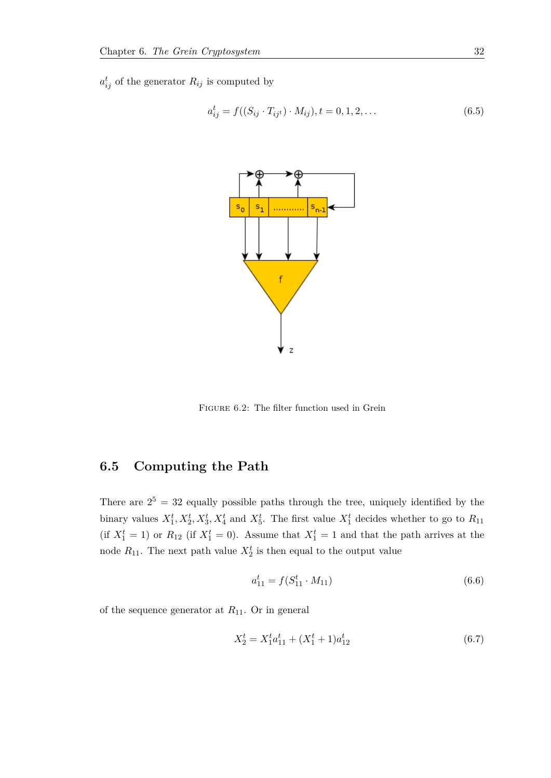<span id="page-37-1"></span> $a_{ij}^t$  of the generator  $R_{ij}$  is computed by

$$
a_{ij}^t = f((S_{ij} \cdot T_{ij} \cdot M_{ij}), t = 0, 1, 2, \dots
$$
\n(6.5)



Figure 6.2: The filter function used in Grein

## <span id="page-37-0"></span>**6.5 Computing the Path**

There are  $2^5 = 32$  equally possible paths through the tree, uniquely identified by the binary values  $X_1^t, X_2^t, X_3^t, X_4^t$  and  $X_5^t$ . The first value  $X_1^t$  decides whether to go to  $R_{11}$ (if  $X_1^t = 1$ ) or  $R_{12}$  (if  $X_1^t = 0$ ). Assume that  $X_1^t = 1$  and that the path arrives at the node  $R_{11}$ . The next path value  $X_2^t$  is then equal to the output value

$$
a_{11}^t = f(S_{11}^t \cdot M_{11}) \tag{6.6}
$$

of the sequence generator at *R*11. Or in general

<span id="page-37-2"></span>
$$
X_2^t = X_1^t a_{11}^t + (X_1^t + 1)a_{12}^t \tag{6.7}
$$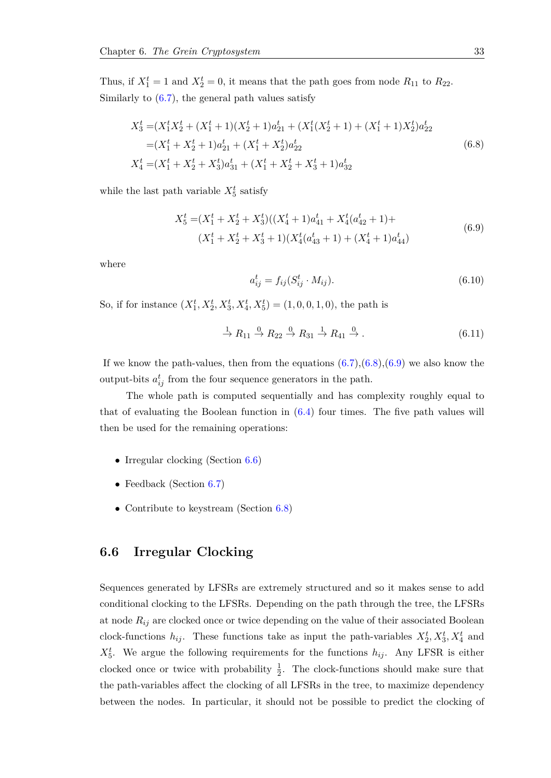Thus, if  $X_1^t = 1$  and  $X_2^t = 0$ , it means that the path goes from node  $R_{11}$  to  $R_{22}$ . Similarly to  $(6.7)$ , the general path values satisfy

<span id="page-38-1"></span>
$$
X_3^t = (X_1^t X_2^t + (X_1^t + 1)(X_2^t + 1)a_{21}^t + (X_1^t (X_2^t + 1) + (X_1^t + 1)X_2^t)a_{22}^t
$$
  
=  $(X_1^t + X_2^t + 1)a_{21}^t + (X_1^t + X_2^t)a_{22}^t$   

$$
X_4^t = (X_1^t + X_2^t + X_3^t)a_{31}^t + (X_1^t + X_2^t + X_3^t + 1)a_{32}^t
$$
 (6.8)

<span id="page-38-2"></span>while the last path variable  $X_5^t$  satisfy

$$
X_5^t = (X_1^t + X_2^t + X_3^t)((X_4^t + 1)a_{41}^t + X_4^t(a_{42}^t + 1) +
$$
  

$$
(X_1^t + X_2^t + X_3^t + 1)(X_4^t(a_{43}^t + 1) + (X_4^t + 1)a_{44}^t)
$$
 (6.9)

where

$$
a_{ij}^t = f_{ij}(S_{ij}^t \cdot M_{ij}).
$$
\n(6.10)

So, if for instance  $(X_1^t, X_2^t, X_3^t, X_4^t, X_5^t) = (1, 0, 0, 1, 0)$ , the path is

$$
\stackrel{1}{\rightarrow} R_{11} \stackrel{0}{\rightarrow} R_{22} \stackrel{0}{\rightarrow} R_{31} \stackrel{1}{\rightarrow} R_{41} \stackrel{0}{\rightarrow}.
$$
 (6.11)

If we know the path-values, then from the equations  $(6.7),(6.8),(6.9)$  $(6.7),(6.8),(6.9)$  $(6.7),(6.8),(6.9)$  $(6.7),(6.8),(6.9)$  $(6.7),(6.8),(6.9)$  we also know the output-bits  $a_{ij}^t$  from the four sequence generators in the path.

The whole path is computed sequentially and has complexity roughly equal to that of evaluating the Boolean function in [\(6.4\)](#page-36-1) four times. The five path values will then be used for the remaining operations:

- Irregular clocking (Section [6.6\)](#page-38-0)
- Feedback (Section [6.7\)](#page-39-0)
- <span id="page-38-0"></span>• Contribute to keystream (Section [6.8\)](#page-39-1)

#### **6.6 Irregular Clocking**

Sequences generated by LFSRs are extremely structured and so it makes sense to add conditional clocking to the LFSRs. Depending on the path through the tree, the LFSRs at node *Rij* are clocked once or twice depending on the value of their associated Boolean clock-functions  $h_{ij}$ . These functions take as input the path-variables  $X_2^t, X_3^t, X_4^t$  and  $X_5^t$ . We argue the following requirements for the functions  $h_{ij}$ . Any LFSR is either clocked once or twice with probability  $\frac{1}{2}$ . The clock-functions should make sure that the path-variables affect the clocking of all LFSRs in the tree, to maximize dependency between the nodes. In particular, it should not be possible to predict the clocking of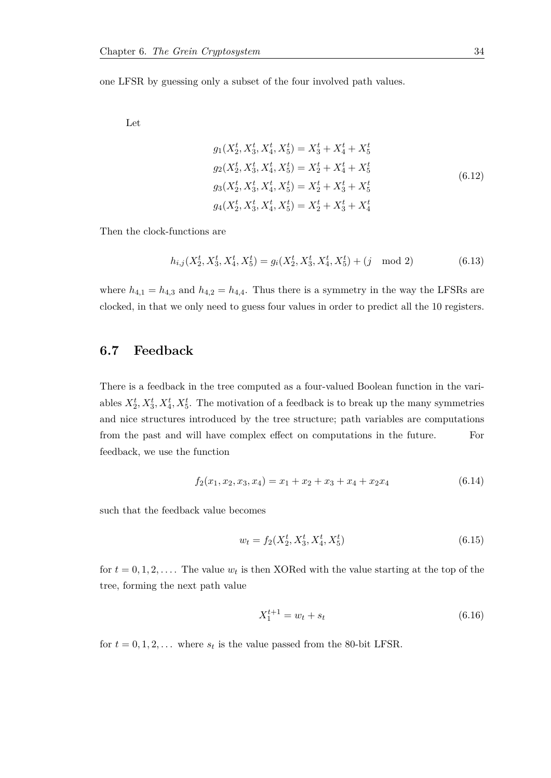one LFSR by guessing only a subset of the four involved path values.

Let

$$
g_1(X_2^t, X_3^t, X_4^t, X_5^t) = X_3^t + X_4^t + X_5^t
$$
  
\n
$$
g_2(X_2^t, X_3^t, X_4^t, X_5^t) = X_2^t + X_4^t + X_5^t
$$
  
\n
$$
g_3(X_2^t, X_3^t, X_4^t, X_5^t) = X_2^t + X_3^t + X_5^t
$$
  
\n
$$
g_4(X_2^t, X_3^t, X_4^t, X_5^t) = X_2^t + X_3^t + X_4^t
$$
\n(6.12)

Then the clock-functions are

$$
h_{i,j}(X_2^t, X_3^t, X_4^t, X_5^t) = g_i(X_2^t, X_3^t, X_4^t, X_5^t) + (j \mod 2)
$$
\n
$$
(6.13)
$$

<span id="page-39-0"></span>where  $h_{4,1} = h_{4,3}$  and  $h_{4,2} = h_{4,4}$ . Thus there is a symmetry in the way the LFSRs are clocked, in that we only need to guess four values in order to predict all the 10 registers.

### **6.7 Feedback**

There is a feedback in the tree computed as a four-valued Boolean function in the variables  $X_2^t, X_3^t, X_4^t, X_5^t$ . The motivation of a feedback is to break up the many symmetries and nice structures introduced by the tree structure; path variables are computations from the past and will have complex effect on computations in the future. For feedback, we use the function

$$
f_2(x_1, x_2, x_3, x_4) = x_1 + x_2 + x_3 + x_4 + x_2x_4 \tag{6.14}
$$

such that the feedback value becomes

$$
w_t = f_2(X_2^t, X_3^t, X_4^t, X_5^t) \tag{6.15}
$$

for  $t = 0, 1, 2, \ldots$  The value  $w_t$  is then XORed with the value starting at the top of the tree, forming the next path value

$$
X_1^{t+1} = w_t + s_t \tag{6.16}
$$

<span id="page-39-1"></span>for  $t = 0, 1, 2, \ldots$  where  $s_t$  is the value passed from the 80-bit LFSR.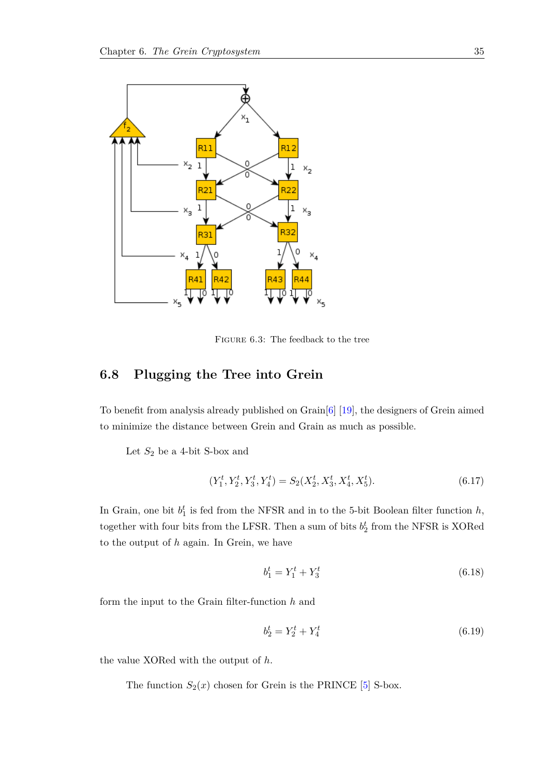<span id="page-40-0"></span>

Figure 6.3: The feedback to the tree

## **6.8 Plugging the Tree into Grein**

To benefit from analysis already published on Grain[\[6\]](#page-63-7) [\[19\]](#page-64-8), the designers of Grein aimed to minimize the distance between Grein and Grain as much as possible.

Let  $S_2$  be a 4-bit S-box and

$$
(Y_1^t, Y_2^t, Y_3^t, Y_4^t) = S_2(X_2^t, X_3^t, X_4^t, X_5^t). \tag{6.17}
$$

In Grain, one bit  $b_1^t$  is fed from the NFSR and in to the 5-bit Boolean filter function  $h$ , together with four bits from the LFSR. Then a sum of bits  $b_2^t$  from the NFSR is XORed to the output of *h* again. In Grein, we have

$$
b_1^t = Y_1^t + Y_3^t \tag{6.18}
$$

form the input to the Grain filter-function *h* and

$$
b_2^t = Y_2^t + Y_4^t \tag{6.19}
$$

the value XORed with the output of *h*.

The function  $S_2(x)$  chosen for Grein is the PRINCE [\[5\]](#page-63-8) S-box.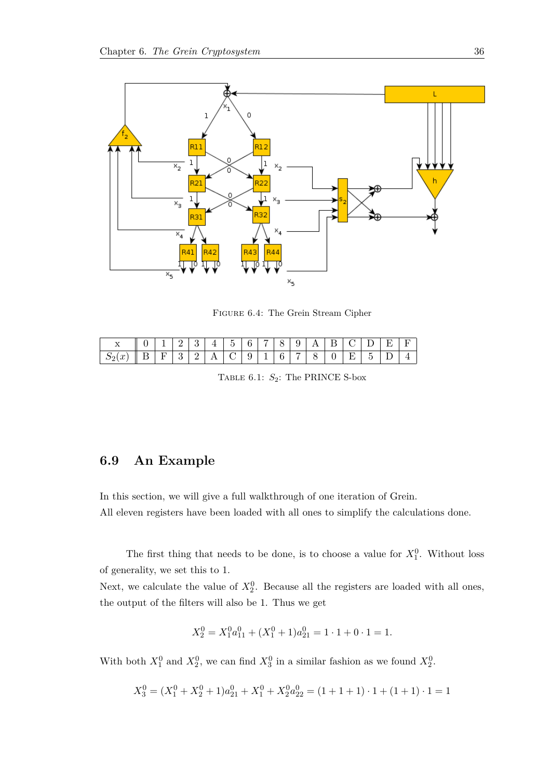<span id="page-41-1"></span>

Figure 6.4: The Grein Stream Cipher

<span id="page-41-2"></span>

| $\rightarrow$        |    |    | - | ິ |     | $\tilde{}$<br>∽<br>◡ | ⌒ | - | ≛<br>◡ | u<br>ັ | . .                       | - | -      |                 | . .      |  |
|----------------------|----|----|---|---|-----|----------------------|---|---|--------|--------|---------------------------|---|--------|-----------------|----------|--|
| w<br>u<br>$\omega_2$ | -- | -- | ິ | - | . . | ◡                    | ັ | - | ິ      |        | $\widetilde{\phantom{a}}$ | ິ | ⇁<br>— | $\tilde{}$<br>◡ | <u>.</u> |  |

TABLE 6.1:  $S_2$ : The PRINCE S-box

#### <span id="page-41-0"></span>**6.9 An Example**

In this section, we will give a full walkthrough of one iteration of Grein.

All eleven registers have been loaded with all ones to simplify the calculations done.

The first thing that needs to be done, is to choose a value for  $X_1^0$ . Without loss of generality, we set this to 1.

Next, we calculate the value of  $X_2^0$ . Because all the registers are loaded with all ones, the output of the filters will also be 1. Thus we get

$$
X_2^0 = X_1^0 a_{11}^0 + (X_1^0 + 1)a_{21}^0 = 1 \cdot 1 + 0 \cdot 1 = 1.
$$

With both  $X_1^0$  and  $X_2^0$ , we can find  $X_3^0$  in a similar fashion as we found  $X_2^0$ .

$$
X_3^0 = (X_1^0 + X_2^0 + 1)a_{21}^0 + X_1^0 + X_2^0 a_{22}^0 = (1 + 1 + 1) \cdot 1 + (1 + 1) \cdot 1 = 1
$$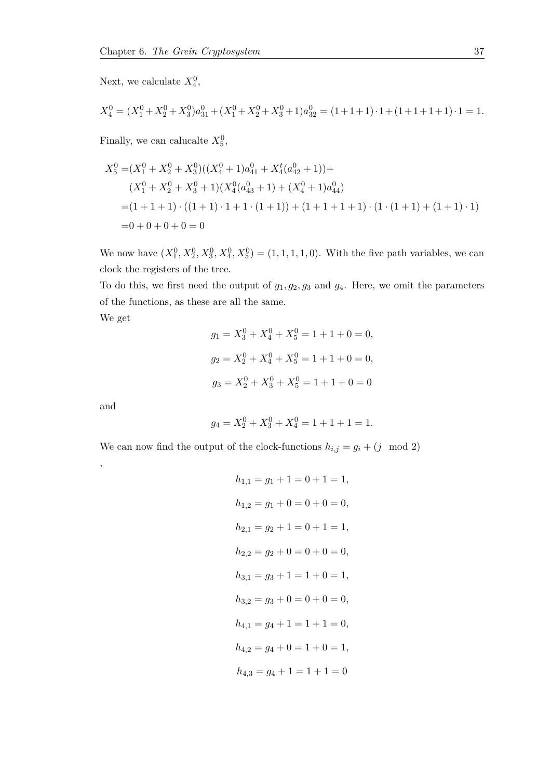Next, we calculate  $X_4^0$ ,

$$
X_4^0 = (X_1^0 + X_2^0 + X_3^0)a_{31}^0 + (X_1^0 + X_2^0 + X_3^0 + 1)a_{32}^0 = (1 + 1 + 1) \cdot 1 + (1 + 1 + 1 + 1) \cdot 1 = 1.
$$

Finally, we can calucalte  $X_5^0$ ,

$$
X_5^0 = (X_1^0 + X_2^0 + X_3^0)((X_4^0 + 1)a_{41}^0 + X_4^t(a_{42}^0 + 1)) +
$$
  
\n
$$
(X_1^0 + X_2^0 + X_3^0 + 1)(X_4^0(a_{43}^0 + 1) + (X_4^0 + 1)a_{44}^0)
$$
  
\n
$$
= (1 + 1 + 1) \cdot ((1 + 1) \cdot 1 + 1 \cdot (1 + 1)) + (1 + 1 + 1 + 1) \cdot (1 \cdot (1 + 1) + (1 + 1) \cdot 1)
$$
  
\n
$$
= 0 + 0 + 0 + 0 = 0
$$

We now have  $(X_1^0, X_2^0, X_3^0, X_4^0, X_5^0) = (1, 1, 1, 1, 0)$ . With the five path variables, we can clock the registers of the tree.

To do this, we first need the output of  $g_1, g_2, g_3$  and  $g_4$ . Here, we omit the parameters of the functions, as these are all the same.

We get

$$
g_1 = X_3^0 + X_4^0 + X_5^0 = 1 + 1 + 0 = 0,
$$
  
\n
$$
g_2 = X_2^0 + X_4^0 + X_5^0 = 1 + 1 + 0 = 0,
$$
  
\n
$$
g_3 = X_2^0 + X_3^0 + X_5^0 = 1 + 1 + 0 = 0
$$

and

,

$$
g_4 = X_2^0 + X_3^0 + X_4^0 = 1 + 1 + 1 = 1.
$$

We can now find the output of the clock-functions  $h_{i,j} = g_i + (j \mod 2)$ 

$$
h_{1,1} = g_1 + 1 = 0 + 1 = 1,
$$
  
\n
$$
h_{1,2} = g_1 + 0 = 0 + 0 = 0,
$$
  
\n
$$
h_{2,1} = g_2 + 1 = 0 + 1 = 1,
$$
  
\n
$$
h_{2,2} = g_2 + 0 = 0 + 0 = 0,
$$
  
\n
$$
h_{3,1} = g_3 + 1 = 1 + 0 = 1,
$$
  
\n
$$
h_{3,2} = g_3 + 0 = 0 + 0 = 0,
$$
  
\n
$$
h_{4,1} = g_4 + 1 = 1 + 1 = 0,
$$
  
\n
$$
h_{4,2} = g_4 + 0 = 1 + 0 = 1,
$$
  
\n
$$
h_{4,3} = g_4 + 1 = 1 + 1 = 0
$$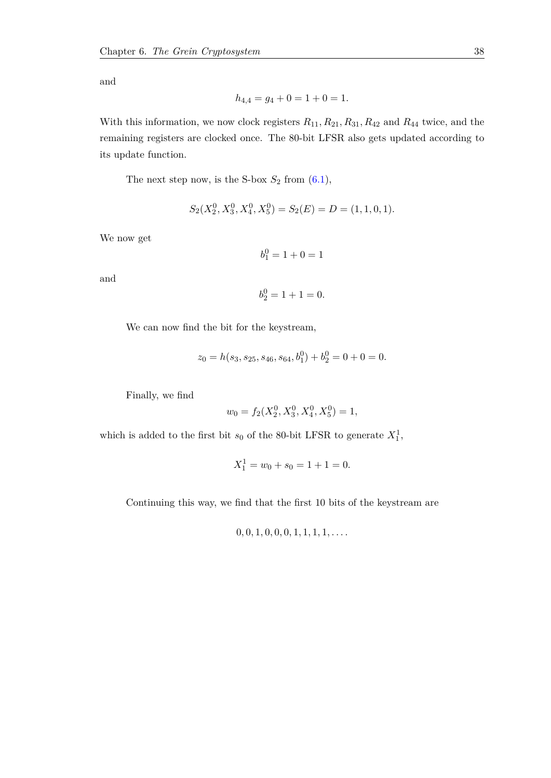and

$$
h_{4,4} = g_4 + 0 = 1 + 0 = 1.
$$

With this information, we now clock registers *R*11*, R*21*, R*31*, R*<sup>42</sup> and *R*<sup>44</sup> twice, and the remaining registers are clocked once. The 80-bit LFSR also gets updated according to its update function.

The next step now, is the S-box  $S_2$  from  $(6.1)$ ,

$$
S_2(X_2^0, X_3^0, X_4^0, X_5^0) = S_2(E) = D = (1, 1, 0, 1).
$$

We now get

$$
b_1^0 = 1 + 0 = 1
$$

and

$$
b_2^0 = 1 + 1 = 0.
$$

We can now find the bit for the keystream,

$$
z_0 = h(s_3, s_{25}, s_{46}, s_{64}, b_1^0) + b_2^0 = 0 + 0 = 0.
$$

Finally, we find

$$
w_0 = f_2(X_2^0, X_3^0, X_4^0, X_5^0) = 1,
$$

which is added to the first bit  $s_0$  of the 80-bit LFSR to generate  $X_1^1$ ,

$$
X_1^1 = w_0 + s_0 = 1 + 1 = 0.
$$

Continuing this way, we find that the first 10 bits of the keystream are

$$
0, 0, 1, 0, 0, 0, 1, 1, 1, 1, \ldots
$$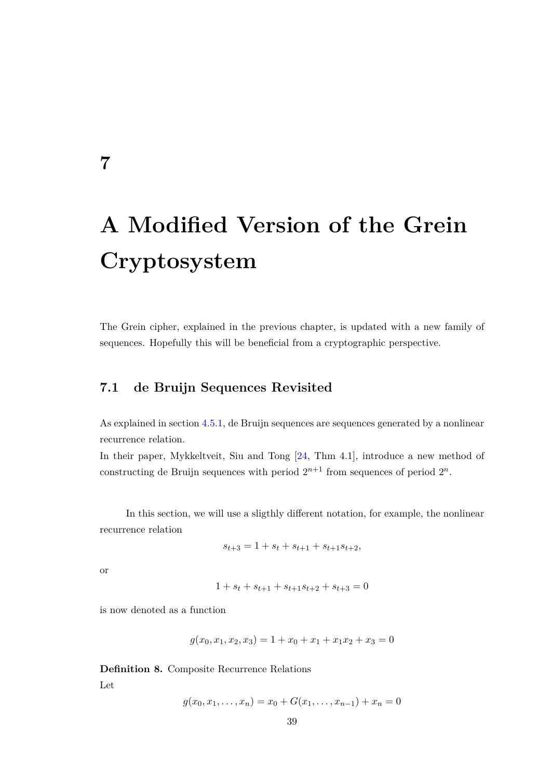# **A Modified Version of the Grein Cryptosystem**

<span id="page-44-1"></span>The Grein cipher, explained in the previous chapter, is updated with a new family of sequences. Hopefully this will be beneficial from a cryptographic perspective.

### **7.1 de Bruijn Sequences Revisited**

As explained in section [4.5.1,](#page-23-0) de Bruijn sequences are sequences generated by a nonlinear recurrence relation.

In their paper, Mykkeltveit, Siu and Tong [\[24,](#page-64-9) Thm 4.1], introduce a new method of constructing de Bruijn sequences with period  $2^{n+1}$  from sequences of period  $2^n$ .

In this section, we will use a sligthly different notation, for example, the nonlinear recurrence relation

$$
s_{t+3} = 1 + s_t + s_{t+1} + s_{t+1} s_{t+2},
$$

or

<span id="page-44-0"></span>**7**

$$
1 + s_t + s_{t+1} + s_{t+1} s_{t+2} + s_{t+3} = 0
$$

is now denoted as a function

$$
g(x_0, x_1, x_2, x_3) = 1 + x_0 + x_1 + x_1 x_2 + x_3 = 0
$$

**Definition 8.** Composite Recurrence Relations Let

$$
g(x_0, x_1, \dots, x_n) = x_0 + G(x_1, \dots, x_{n-1}) + x_n = 0
$$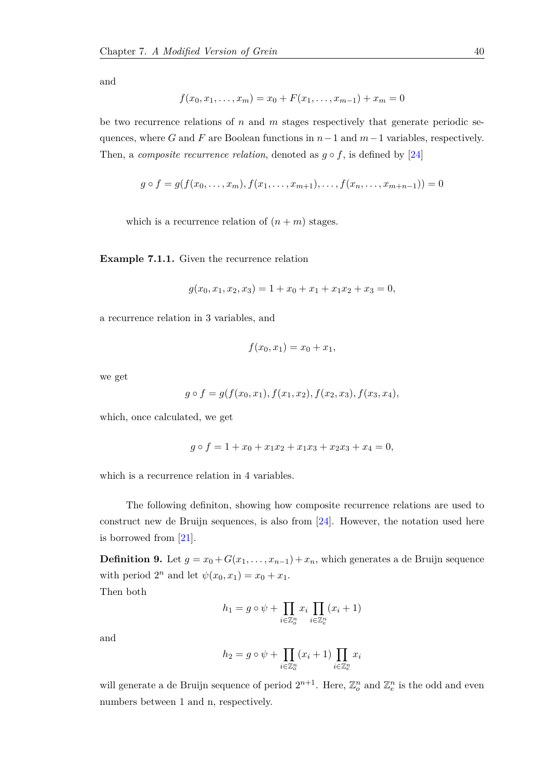and

$$
f(x_0, x_1, \dots, x_m) = x_0 + F(x_1, \dots, x_{m-1}) + x_m = 0
$$

be two recurrence relations of *n* and *m* stages respectively that generate periodic sequences, where *G* and *F* are Boolean functions in *n*−1 and *m*−1 variables, respectively. Then, a *composite recurrence relation*, denoted as  $g \circ f$ , is defined by [\[24\]](#page-64-9)

$$
g \circ f = g(f(x_0, \ldots, x_m), f(x_1, \ldots, x_{m+1}), \ldots, f(x_n, \ldots, x_{m+n-1})) = 0
$$

which is a recurrence relation of  $(n + m)$  stages.

**Example 7.1.1.** Given the recurrence relation

$$
g(x_0, x_1, x_2, x_3) = 1 + x_0 + x_1 + x_1x_2 + x_3 = 0,
$$

a recurrence relation in 3 variables, and

$$
f(x_0, x_1) = x_0 + x_1,
$$

we get

$$
g \circ f = g(f(x_0, x_1), f(x_1, x_2), f(x_2, x_3), f(x_3, x_4),
$$

which, once calculated, we get

$$
g \circ f = 1 + x_0 + x_1 x_2 + x_1 x_3 + x_2 x_3 + x_4 = 0,
$$

which is a recurrence relation in 4 variables.

The following definiton, showing how composite recurrence relations are used to construct new de Bruijn sequences, is also from [\[24\]](#page-64-9). However, the notation used here is borrowed from [\[21\]](#page-64-10).

**Definition 9.** Let  $g = x_0 + G(x_1, \ldots, x_{n-1}) + x_n$ , which generates a de Bruijn sequence with period  $2^n$  and let  $\psi(x_0, x_1) = x_0 + x_1$ .

Then both

$$
h_1 = g \circ \psi + \prod_{i \in \mathbb{Z}_o^n} x_i \prod_{i \in \mathbb{Z}_e^n} (x_i + 1)
$$

and

$$
h_2 = g \circ \psi + \prod_{i \in \mathbb{Z}_o^n} (x_i + 1) \prod_{i \in \mathbb{Z}_e^n} x_i
$$

will generate a de Bruijn sequence of period  $2^{n+1}$ . Here,  $\mathbb{Z}_o^n$  and  $\mathbb{Z}_e^n$  is the odd and even numbers between 1 and n, respectively.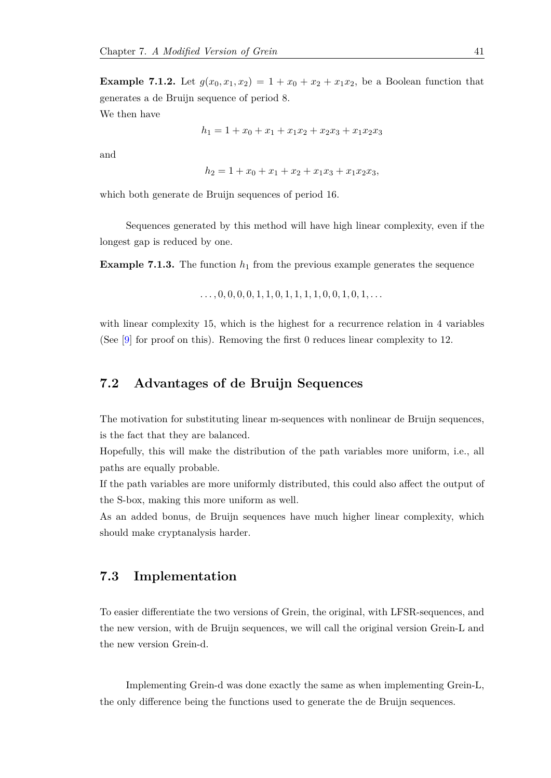**Example 7.1.2.** Let  $g(x_0, x_1, x_2) = 1 + x_0 + x_2 + x_1x_2$ , be a Boolean function that generates a de Bruijn sequence of period 8. We then have

$$
h_1 = 1 + x_0 + x_1 + x_1x_2 + x_2x_3 + x_1x_2x_3
$$

and

$$
h_2 = 1 + x_0 + x_1 + x_2 + x_1 x_3 + x_1 x_2 x_3,
$$

which both generate de Bruijn sequences of period 16.

Sequences generated by this method will have high linear complexity, even if the longest gap is reduced by one.

**Example 7.1.3.** The function  $h_1$  from the previous example generates the sequence

$$
\ldots, 0, 0, 0, 0, 1, 1, 0, 1, 1, 1, 1, 0, 0, 1, 0, 1, \ldots
$$

with linear complexity 15, which is the highest for a recurrence relation in 4 variables (See [\[9\]](#page-63-5) for proof on this). Removing the first 0 reduces linear complexity to 12.

### <span id="page-46-0"></span>**7.2 Advantages of de Bruijn Sequences**

The motivation for substituting linear m-sequences with nonlinear de Bruijn sequences, is the fact that they are balanced.

Hopefully, this will make the distribution of the path variables more uniform, i.e., all paths are equally probable.

If the path variables are more uniformly distributed, this could also affect the output of the S-box, making this more uniform as well.

<span id="page-46-1"></span>As an added bonus, de Bruijn sequences have much higher linear complexity, which should make cryptanalysis harder.

#### **7.3 Implementation**

To easier differentiate the two versions of Grein, the original, with LFSR-sequences, and the new version, with de Bruijn sequences, we will call the original version Grein-L and the new version Grein-d.

Implementing Grein-d was done exactly the same as when implementing Grein-L, the only difference being the functions used to generate the de Bruijn sequences.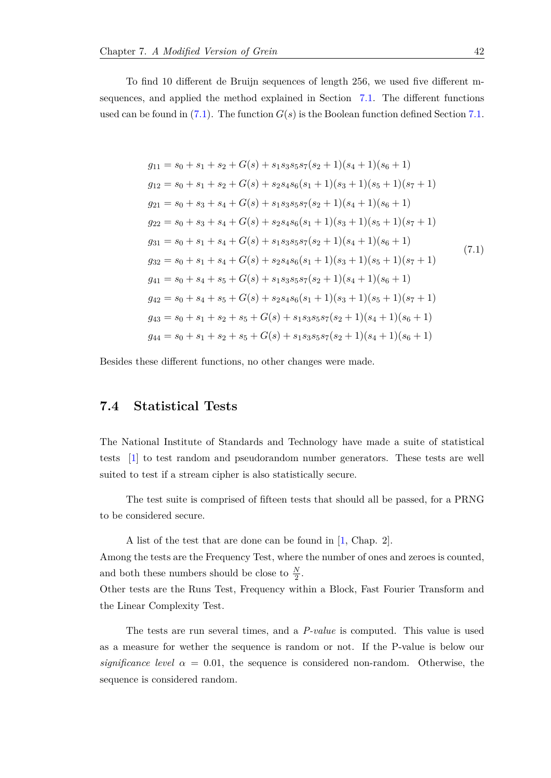To find 10 different de Bruijn sequences of length 256, we used five different msequences, and applied the method explained in Section [7.1.](#page-44-1) The different functions used can be found in  $(7.1)$ . The function  $G(s)$  is the Boolean function defined Section [7.1.](#page-44-1)

<span id="page-47-1"></span>
$$
g_{11} = s_0 + s_1 + s_2 + G(s) + s_1 s_3 s_5 s_7 (s_2 + 1)(s_4 + 1)(s_6 + 1)
$$
  
\n
$$
g_{12} = s_0 + s_1 + s_2 + G(s) + s_2 s_4 s_6 (s_1 + 1)(s_3 + 1)(s_5 + 1)(s_7 + 1)
$$
  
\n
$$
g_{21} = s_0 + s_3 + s_4 + G(s) + s_1 s_3 s_5 s_7 (s_2 + 1)(s_4 + 1)(s_6 + 1)
$$
  
\n
$$
g_{22} = s_0 + s_3 + s_4 + G(s) + s_2 s_4 s_6 (s_1 + 1)(s_3 + 1)(s_5 + 1)(s_7 + 1)
$$
  
\n
$$
g_{31} = s_0 + s_1 + s_4 + G(s) + s_1 s_3 s_5 s_7 (s_2 + 1)(s_4 + 1)(s_6 + 1)
$$
  
\n
$$
g_{32} = s_0 + s_1 + s_4 + G(s) + s_2 s_4 s_6 (s_1 + 1)(s_3 + 1)(s_5 + 1)(s_7 + 1)
$$
  
\n
$$
g_{41} = s_0 + s_4 + s_5 + G(s) + s_1 s_3 s_5 s_7 (s_2 + 1)(s_4 + 1)(s_6 + 1)
$$
  
\n
$$
g_{42} = s_0 + s_4 + s_5 + G(s) + s_2 s_4 s_6 (s_1 + 1)(s_3 + 1)(s_5 + 1)(s_7 + 1)
$$
  
\n
$$
g_{43} = s_0 + s_1 + s_2 + s_5 + G(s) + s_1 s_3 s_5 s_7 (s_2 + 1)(s_4 + 1)(s_6 + 1)
$$
  
\n
$$
g_{44} = s_0 + s_1 + s_2 + s_5 + G(s) + s_1 s_3 s_5 s_7 (s_2 + 1)(s_4 + 1)(s_6 + 1)
$$

<span id="page-47-0"></span>Besides these different functions, no other changes were made.

#### **7.4 Statistical Tests**

The National Institute of Standards and Technology have made a suite of statistical tests [\[1\]](#page-63-9) to test random and pseudorandom number generators. These tests are well suited to test if a stream cipher is also statistically secure.

The test suite is comprised of fifteen tests that should all be passed, for a PRNG to be considered secure.

A list of the test that are done can be found in [\[1,](#page-63-9) Chap. 2].

Among the tests are the Frequency Test, where the number of ones and zeroes is counted, and both these numbers should be close to  $\frac{N}{2}$ .

Other tests are the Runs Test, Frequency within a Block, Fast Fourier Transform and the Linear Complexity Test.

The tests are run several times, and a *P-value* is computed. This value is used as a measure for wether the sequence is random or not. If the P-value is below our *significance level*  $\alpha = 0.01$ , the sequence is considered non-random. Otherwise, the sequence is considered random.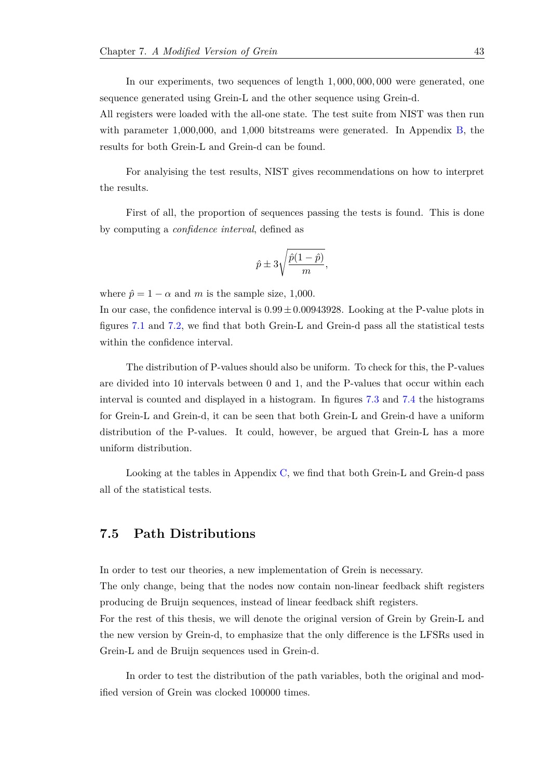In our experiments, two sequences of length 1*,* 000*,* 000*,* 000 were generated, one sequence generated using Grein-L and the other sequence using Grein-d.

All registers were loaded with the all-one state. The test suite from NIST was then run with parameter 1,000,000, and 1,000 bitstreams were generated. In Appendix [B,](#page-58-0) the results for both Grein-L and Grein-d can be found.

For analyising the test results, NIST gives recommendations on how to interpret the results.

First of all, the proportion of sequences passing the tests is found. This is done by computing a *confidence interval*, defined as

$$
\hat{p} \pm 3\sqrt{\frac{\hat{p}(1-\hat{p})}{m}},
$$

where  $\hat{p} = 1 - \alpha$  and *m* is the sample size, 1,000.

In our case, the confidence interval is  $0.99 \pm 0.00943928$ . Looking at the P-value plots in figures [7.1](#page-49-0) and [7.2,](#page-49-0) we find that both Grein-L and Grein-d pass all the statistical tests within the confidence interval.

The distribution of P-values should also be uniform. To check for this, the P-values are divided into 10 intervals between 0 and 1, and the P-values that occur within each interval is counted and displayed in a histogram. In figures [7.3](#page-50-0) and [7.4](#page-50-0) the histograms for Grein-L and Grein-d, it can be seen that both Grein-L and Grein-d have a uniform distribution of the P-values. It could, however, be argued that Grein-L has a more uniform distribution.

<span id="page-48-0"></span>Looking at the tables in Appendix [C,](#page-60-0) we find that both Grein-L and Grein-d pass all of the statistical tests.

#### **7.5 Path Distributions**

In order to test our theories, a new implementation of Grein is necessary.

The only change, being that the nodes now contain non-linear feedback shift registers producing de Bruijn sequences, instead of linear feedback shift registers.

For the rest of this thesis, we will denote the original version of Grein by Grein-L and the new version by Grein-d, to emphasize that the only difference is the LFSRs used in Grein-L and de Bruijn sequences used in Grein-d.

In order to test the distribution of the path variables, both the original and modified version of Grein was clocked 100000 times.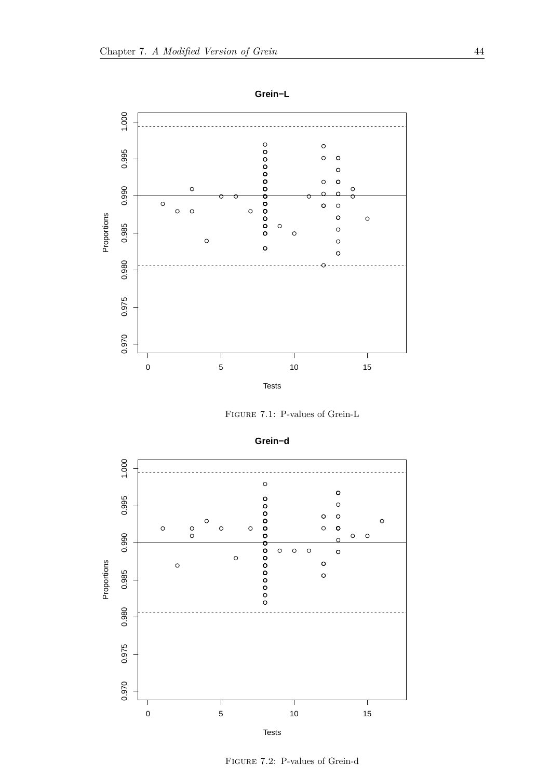<span id="page-49-0"></span>

Figure 7.1: P-values of Grein-L



Figure 7.2: P-values of Grein-d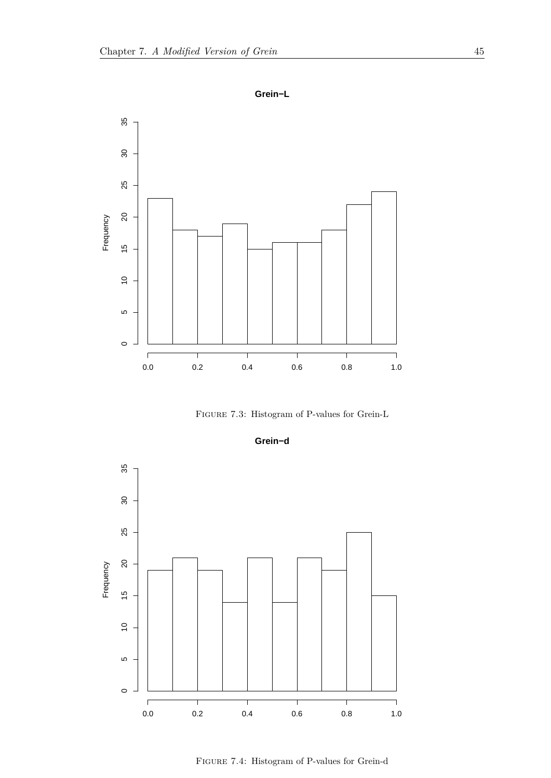<span id="page-50-0"></span>

Figure 7.3: Histogram of P-values for Grein-L





Figure 7.4: Histogram of P-values for Grein-d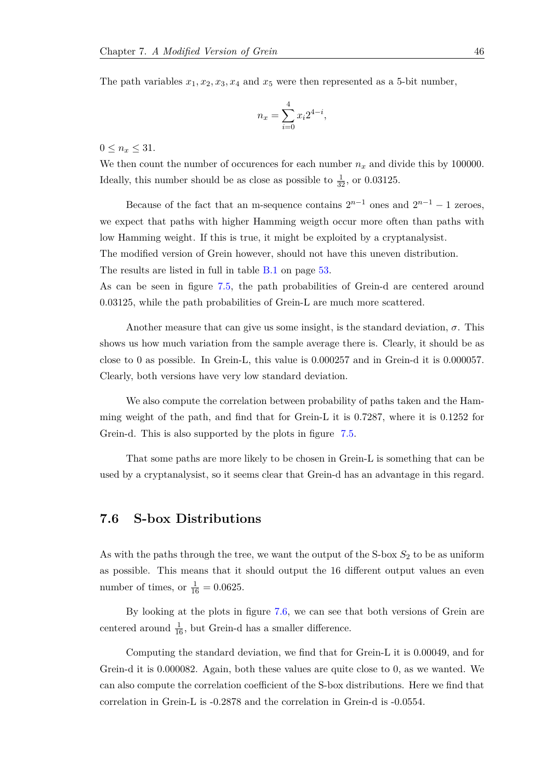The path variables  $x_1, x_2, x_3, x_4$  and  $x_5$  were then represented as a 5-bit number,

$$
n_x = \sum_{i=0}^{4} x_i 2^{4-i},
$$

 $0 \leq n_x \leq 31.$ 

We then count the number of occurences for each number  $n_x$  and divide this by 100000. Ideally, this number should be as close as possible to  $\frac{1}{32}$ , or 0.03125.

Because of the fact that an m-sequence contains  $2^{n-1}$  ones and  $2^{n-1} - 1$  zeroes, we expect that paths with higher Hamming weigth occur more often than paths with low Hamming weight. If this is true, it might be exploited by a cryptanalysist.

The modified version of Grein however, should not have this uneven distribution.

The results are listed in full in table [B.1](#page-58-1) on page [53.](#page-58-1)

As can be seen in figure [7.5,](#page-52-0) the path probabilities of Grein-d are centered around 0.03125, while the path probabilities of Grein-L are much more scattered.

Another measure that can give us some insight, is the standard deviation,  $\sigma$ . This shows us how much variation from the sample average there is. Clearly, it should be as close to 0 as possible. In Grein-L, this value is 0*.*000257 and in Grein-d it is 0*.*000057. Clearly, both versions have very low standard deviation.

We also compute the correlation between probability of paths taken and the Hamming weight of the path, and find that for Grein-L it is 0.7287, where it is 0.1252 for Grein-d. This is also supported by the plots in figure [7.5.](#page-52-0)

<span id="page-51-0"></span>That some paths are more likely to be chosen in Grein-L is something that can be used by a cryptanalysist, so it seems clear that Grein-d has an advantage in this regard.

#### **7.6 S-box Distributions**

As with the paths through the tree, we want the output of the S-box  $S_2$  to be as uniform as possible. This means that it should output the 16 different output values an even number of times, or  $\frac{1}{16} = 0.0625$ .

By looking at the plots in figure [7.6,](#page-53-1) we can see that both versions of Grein are centered around  $\frac{1}{16}$ , but Grein-d has a smaller difference.

Computing the standard deviation, we find that for Grein-L it is 0.00049, and for Grein-d it is 0.000082. Again, both these values are quite close to 0, as we wanted. We can also compute the correlation coefficient of the S-box distributions. Here we find that correlation in Grein-L is -0.2878 and the correlation in Grein-d is -0.0554.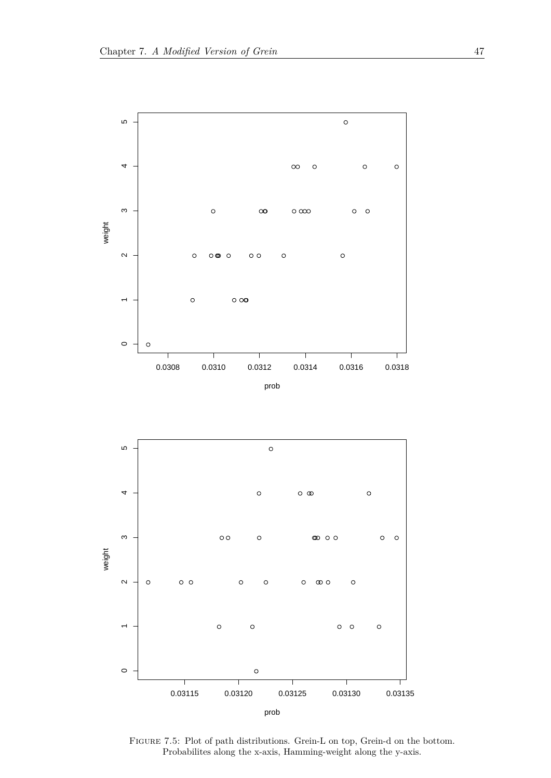<span id="page-52-0"></span>



FIGURE 7.5: Plot of path distributions. Grein-L on top, Grein-d on the bottom. Probabilites along the x-axis, Hamming-weight along the y-axis.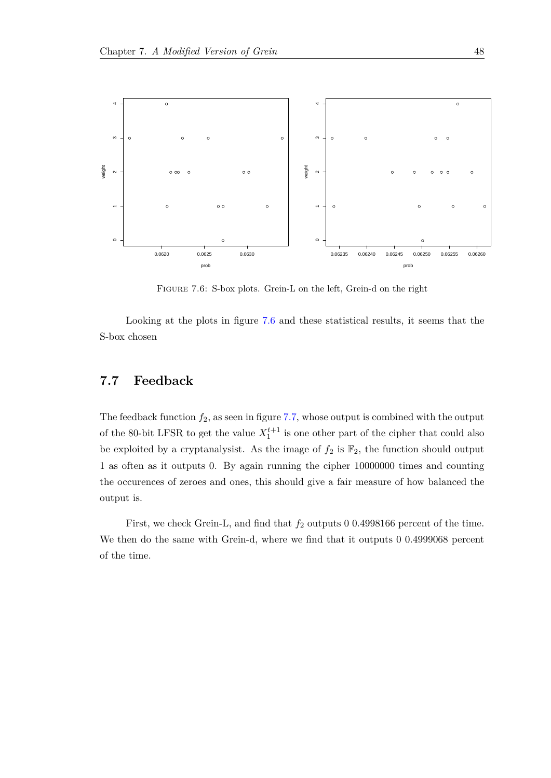<span id="page-53-1"></span>

Figure 7.6: S-box plots. Grein-L on the left, Grein-d on the right

<span id="page-53-0"></span>Looking at the plots in figure [7.6](#page-53-1) and these statistical results, it seems that the S-box chosen

### **7.7 Feedback**

The feedback function *f*2, as seen in figure [7.7,](#page-54-0) whose output is combined with the output of the 80-bit LFSR to get the value  $X_1^{t+1}$  is one other part of the cipher that could also be exploited by a cryptanalysist. As the image of  $f_2$  is  $\mathbb{F}_2$ , the function should output 1 as often as it outputs 0. By again running the cipher 10000000 times and counting the occurences of zeroes and ones, this should give a fair measure of how balanced the output is.

First, we check Grein-L, and find that  $f_2$  outputs 0 0.4998166 percent of the time. We then do the same with Grein-d, where we find that it outputs 0 0.4999068 percent of the time.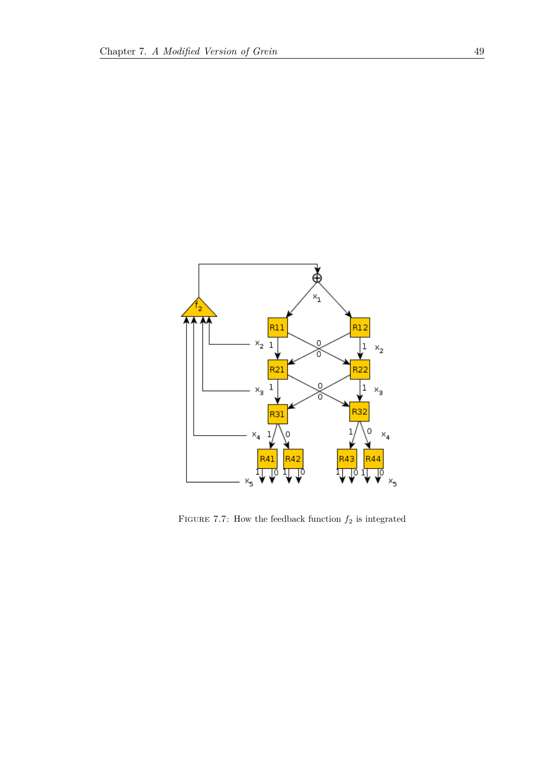<span id="page-54-0"></span>

FIGURE 7.7: How the feedback function  $f_2$  is integrated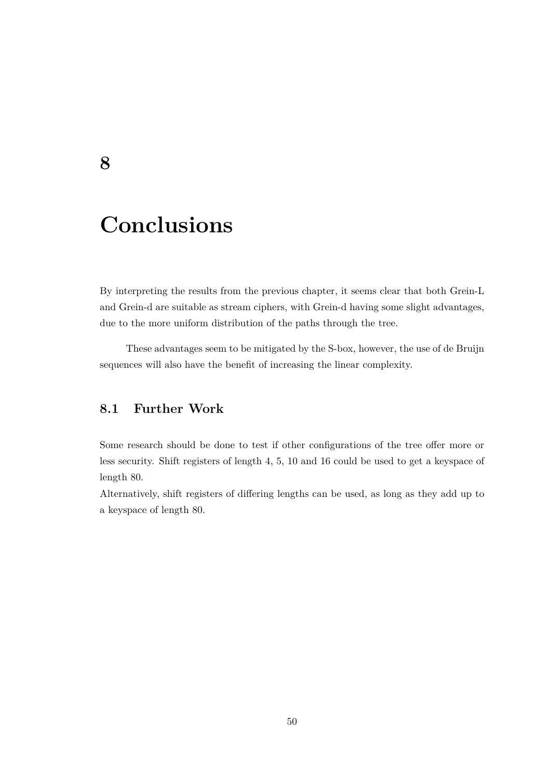## **Conclusions**

By interpreting the results from the previous chapter, it seems clear that both Grein-L and Grein-d are suitable as stream ciphers, with Grein-d having some slight advantages, due to the more uniform distribution of the paths through the tree.

<span id="page-55-1"></span>These advantages seem to be mitigated by the S-box, however, the use of de Bruijn sequences will also have the benefit of increasing the linear complexity.

## **8.1 Further Work**

Some research should be done to test if other configurations of the tree offer more or less security. Shift registers of length 4, 5, 10 and 16 could be used to get a keyspace of length 80.

Alternatively, shift registers of differing lengths can be used, as long as they add up to a keyspace of length 80.

<span id="page-55-0"></span>**8**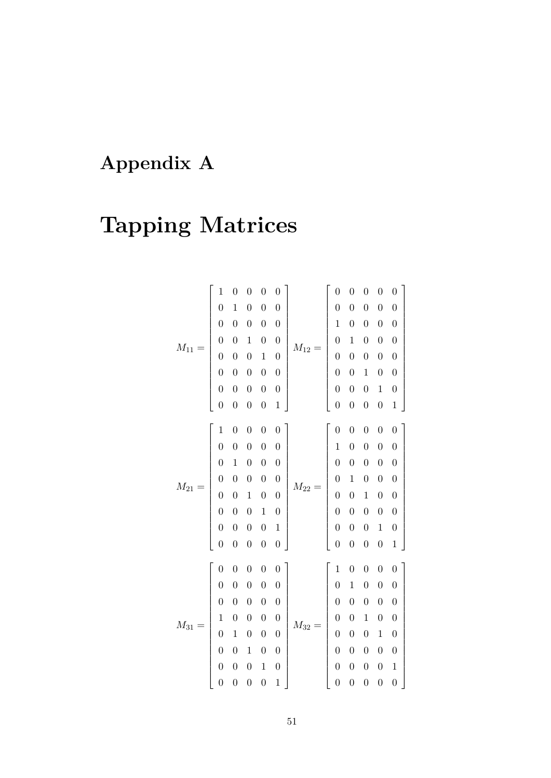## <span id="page-56-0"></span>**Appendix A**

# **Tapping Matrices**

|            | $\mathbf 1$      | $\boldsymbol{0}$ | $\boldsymbol{0}$ | $\boldsymbol{0}$ | $\overline{0}$   |            | $\overline{0}$                             | $\overline{0}$   | $\boldsymbol{0}$ | $\boldsymbol{0}$ | $\boldsymbol{0}$ |
|------------|------------------|------------------|------------------|------------------|------------------|------------|--------------------------------------------|------------------|------------------|------------------|------------------|
|            | $\overline{0}$   | $\mathbf{1}$     | $\boldsymbol{0}$ | $\overline{0}$   | $\overline{0}$   |            | $\overline{0}$                             | $\overline{0}$   | $\boldsymbol{0}$ | $\boldsymbol{0}$ | $\boldsymbol{0}$ |
|            | $\overline{0}$   | $\boldsymbol{0}$ | $\boldsymbol{0}$ | $\boldsymbol{0}$ | $\boldsymbol{0}$ |            | $\mathbf 1$                                | $\overline{0}$   | $\boldsymbol{0}$ | $\boldsymbol{0}$ | $\boldsymbol{0}$ |
| $M_{11} =$ | $\boldsymbol{0}$ | $\boldsymbol{0}$ | $\mathbf 1$      | $\boldsymbol{0}$ | $\boldsymbol{0}$ |            | $\overline{0}$                             | $\mathbf{1}$     | $\boldsymbol{0}$ | $\boldsymbol{0}$ | $\boldsymbol{0}$ |
|            | $\overline{0}$   | $\overline{0}$   | $\boldsymbol{0}$ | $\mathbf{1}$     | $\overline{0}$   |            | $\overline{0}$                             | $\overline{0}$   | $\boldsymbol{0}$ | $\boldsymbol{0}$ | $\boldsymbol{0}$ |
|            | $\overline{0}$   | $\overline{0}$   | $\boldsymbol{0}$ | $\overline{0}$   | $\boldsymbol{0}$ | $M_{12} =$ | $\overline{0}$                             | $\overline{0}$   | $\mathbf 1$      | $\boldsymbol{0}$ | $\boldsymbol{0}$ |
|            | $\overline{0}$   | $\overline{0}$   | $\boldsymbol{0}$ | $\boldsymbol{0}$ | $\boldsymbol{0}$ |            | $\overline{0}$                             | $\overline{0}$   | $\boldsymbol{0}$ | $\mathbf{1}$     | $\boldsymbol{0}$ |
|            | $\overline{0}$   | $\overline{0}$   | $\overline{0}$   | $\overline{0}$   | $\mathbf{1}$     |            | $\overline{0}$                             | $\overline{0}$   | $\boldsymbol{0}$ | $\boldsymbol{0}$ | $\mathbf 1$      |
|            | $\mathbf{1}$     | $\boldsymbol{0}$ | $\boldsymbol{0}$ | $\overline{0}$   | $\overline{0}$   |            | $\overline{0}$                             | $\overline{0}$   | $\boldsymbol{0}$ | $\boldsymbol{0}$ | $\overline{0}$   |
|            | $\overline{0}$   | $\boldsymbol{0}$ | $\boldsymbol{0}$ | $\overline{0}$   | $\boldsymbol{0}$ |            | $\mathbf 1$                                | $\overline{0}$   | $\boldsymbol{0}$ | $\boldsymbol{0}$ | $\boldsymbol{0}$ |
|            | $\overline{0}$   | $\mathbf 1$      | $\boldsymbol{0}$ | $\boldsymbol{0}$ | $\boldsymbol{0}$ |            | $\overline{0}$                             | $\boldsymbol{0}$ | $\boldsymbol{0}$ | $\boldsymbol{0}$ | $\boldsymbol{0}$ |
|            | $\overline{0}$   | $\overline{0}$   | $\boldsymbol{0}$ | $\boldsymbol{0}$ | $\boldsymbol{0}$ |            |                                            | $\mathbf{1}$     | $\boldsymbol{0}$ | $\boldsymbol{0}$ | $\boldsymbol{0}$ |
| $M_{21} =$ | $\overline{0}$   | $\overline{0}$   | $\mathbf{1}$     | $\overline{0}$   | $\boldsymbol{0}$ | $M_{22} =$ | $\begin{array}{c} 0 \\ 0 \\ 0 \end{array}$ | $\overline{0}$   | $\mathbf 1$      | $\boldsymbol{0}$ | $\boldsymbol{0}$ |
|            | $\overline{0}$   | $\overline{0}$   | $\boldsymbol{0}$ | $\mathbf{1}$     | $\boldsymbol{0}$ |            |                                            | $\overline{0}$   | $\boldsymbol{0}$ | $\boldsymbol{0}$ | $\boldsymbol{0}$ |
|            | $\overline{0}$   | $\overline{0}$   | $\boldsymbol{0}$ | $\overline{0}$   | $\,1$            |            | $\overline{0}$                             | $\overline{0}$   | $\boldsymbol{0}$ | $\mathbf{1}$     | $\boldsymbol{0}$ |
|            | $\overline{0}$   | $\overline{0}$   | $\boldsymbol{0}$ | $\overline{0}$   | $\overline{0}$   |            | $\overline{0}$                             | $\overline{0}$   | $\boldsymbol{0}$ | $\boldsymbol{0}$ | $\mathbf 1$      |
|            |                  |                  |                  |                  |                  |            |                                            |                  |                  |                  |                  |
|            | $\overline{0}$   | $\boldsymbol{0}$ | $\boldsymbol{0}$ | $\overline{0}$   | $\overline{0}$   |            | $\mathbf 1$                                | $\overline{0}$   | $\boldsymbol{0}$ | $\boldsymbol{0}$ | $\overline{0}$   |
|            | $\overline{0}$   | $\overline{0}$   | $\boldsymbol{0}$ | $\boldsymbol{0}$ | $\overline{0}$   |            | $\overline{0}$                             | $\mathbf 1$      | $\boldsymbol{0}$ | $\boldsymbol{0}$ | $\boldsymbol{0}$ |
|            | $\overline{0}$   | $\overline{0}$   | $\boldsymbol{0}$ | $\boldsymbol{0}$ | $\boldsymbol{0}$ |            | $\boldsymbol{0}$                           | $\boldsymbol{0}$ | $\boldsymbol{0}$ | $\boldsymbol{0}$ | $\boldsymbol{0}$ |
|            | $\mathbf{1}$     | $\boldsymbol{0}$ | $\boldsymbol{0}$ | $\overline{0}$   | $\boldsymbol{0}$ |            | $\overline{0}$                             | $\overline{0}$   | $\mathbf 1$      | $\boldsymbol{0}$ | $\boldsymbol{0}$ |
| $M_{31} =$ | $\overline{0}$   | $\mathbf{1}$     | $\boldsymbol{0}$ | $\boldsymbol{0}$ | $\overline{0}$   | $M_{32} =$ | $\boldsymbol{0}$                           | $\overline{0}$   | $\boldsymbol{0}$ | $\mathbf{1}$     | $\boldsymbol{0}$ |
|            | $\overline{0}$   | $\overline{0}$   | $\mathbf{1}$     | $\overline{0}$   | $\overline{0}$   |            | $\overline{0}$                             | $\overline{0}$   | $\boldsymbol{0}$ | $\boldsymbol{0}$ | $\boldsymbol{0}$ |
|            | $\overline{0}$   | $\overline{0}$   | $\boldsymbol{0}$ | $\mathbf{1}$     | $\boldsymbol{0}$ |            | $\overline{0}$                             | $\boldsymbol{0}$ | $\boldsymbol{0}$ | $\boldsymbol{0}$ | $\!1\!$          |
|            | $\overline{0}$   | $\overline{0}$   | $\overline{0}$   | $\overline{0}$   | $\mathbf{1}$     |            | $\overline{0}$                             | $\overline{0}$   | $\overline{0}$   | $\boldsymbol{0}$ | $\overline{0}$   |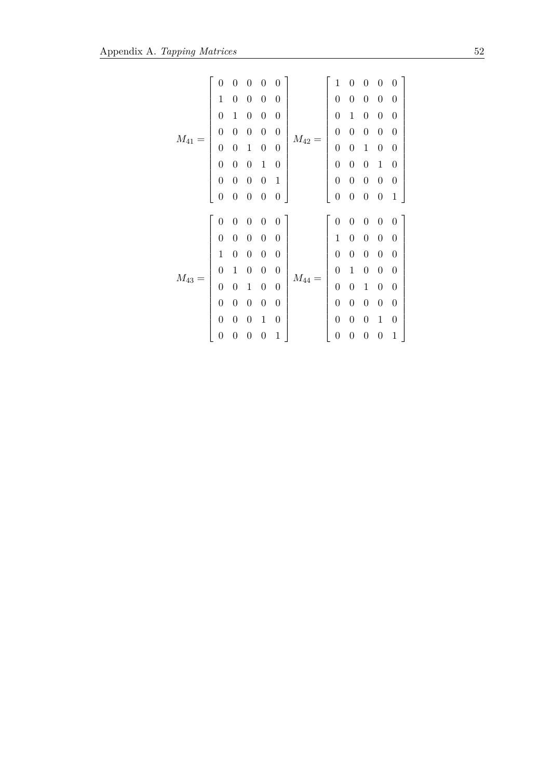|          | 0                | 0                |                  | 0                | 0                |          | 1                | 0                | 0                | 0                | 0                |
|----------|------------------|------------------|------------------|------------------|------------------|----------|------------------|------------------|------------------|------------------|------------------|
|          | $\mathbf{1}$     | $\overline{0}$   | $\overline{0}$   | $\boldsymbol{0}$ | $\boldsymbol{0}$ |          | $\boldsymbol{0}$ | $\overline{0}$   | $\boldsymbol{0}$ | $\boldsymbol{0}$ | $\boldsymbol{0}$ |
|          | $\boldsymbol{0}$ | $\mathbf{1}$     | $\boldsymbol{0}$ | $\boldsymbol{0}$ | $\boldsymbol{0}$ |          | $\boldsymbol{0}$ | $\mathbf{1}$     | $\boldsymbol{0}$ | $\boldsymbol{0}$ | $\boldsymbol{0}$ |
|          | $\boldsymbol{0}$ | 0                | $\overline{0}$   | $\boldsymbol{0}$ | $\boldsymbol{0}$ |          | $\boldsymbol{0}$ | $\overline{0}$   | $\boldsymbol{0}$ | $\boldsymbol{0}$ | $\boldsymbol{0}$ |
| $M_{41}$ | $\boldsymbol{0}$ | $\overline{0}$   | $\mathbf{1}$     | $\boldsymbol{0}$ | $\boldsymbol{0}$ | $M_{42}$ | $\boldsymbol{0}$ | $\overline{0}$   | $\mathbf{1}$     | $\boldsymbol{0}$ | $\boldsymbol{0}$ |
|          | $\boldsymbol{0}$ | $\overline{0}$   | $\overline{0}$   | $\mathbf{1}$     | $\boldsymbol{0}$ |          | $\overline{0}$   | $\overline{0}$   | $\boldsymbol{0}$ | $\mathbf 1$      | $\boldsymbol{0}$ |
|          | $\boldsymbol{0}$ | $\overline{0}$   | $\overline{0}$   | $\boldsymbol{0}$ | $\mathbf{1}$     |          | $\boldsymbol{0}$ | $\overline{0}$   | $\boldsymbol{0}$ | $\boldsymbol{0}$ | $\boldsymbol{0}$ |
|          | $\boldsymbol{0}$ | $\boldsymbol{0}$ | $\boldsymbol{0}$ | $\boldsymbol{0}$ | $\boldsymbol{0}$ |          | $\boldsymbol{0}$ | $\boldsymbol{0}$ | $\boldsymbol{0}$ | $\boldsymbol{0}$ | $\mathbf{1}$     |
|          |                  |                  |                  |                  |                  |          |                  |                  |                  |                  |                  |
|          |                  |                  |                  |                  |                  |          |                  |                  |                  |                  |                  |
|          | $\boldsymbol{0}$ | 0                | $\overline{0}$   | $\boldsymbol{0}$ | 0                |          | $\overline{0}$   | $\boldsymbol{0}$ | $\boldsymbol{0}$ | $\boldsymbol{0}$ | $\boldsymbol{0}$ |
|          | $\overline{0}$   | $\overline{0}$   | $\overline{0}$   | $\boldsymbol{0}$ | $\boldsymbol{0}$ |          | $\mathbf{1}$     | $\overline{0}$   | $\boldsymbol{0}$ | $\boldsymbol{0}$ | $\boldsymbol{0}$ |
|          | $\mathbf{1}$     | $\overline{0}$   | $\overline{0}$   | $\boldsymbol{0}$ | $\boldsymbol{0}$ |          | $\overline{0}$   | $\overline{0}$   | $\boldsymbol{0}$ | $\boldsymbol{0}$ | $\boldsymbol{0}$ |
|          | $\overline{0}$   | $\mathbf{1}$     | $\overline{0}$   | $\boldsymbol{0}$ | $\boldsymbol{0}$ |          | $\overline{0}$   | $\mathbf 1$      | $\boldsymbol{0}$ | $\boldsymbol{0}$ | $\boldsymbol{0}$ |
| $M_{43}$ | $\boldsymbol{0}$ | $\boldsymbol{0}$ | $\mathbf{1}$     | $\boldsymbol{0}$ | $\boldsymbol{0}$ | $M_{44}$ | $\boldsymbol{0}$ | $\boldsymbol{0}$ | $\mathbf{1}$     | $\boldsymbol{0}$ | $\boldsymbol{0}$ |
|          | $\boldsymbol{0}$ | $\overline{0}$   | $\overline{0}$   | $\boldsymbol{0}$ | $\boldsymbol{0}$ |          | $\boldsymbol{0}$ | $\boldsymbol{0}$ | $\boldsymbol{0}$ | $\boldsymbol{0}$ | $\boldsymbol{0}$ |
|          | $\boldsymbol{0}$ | $\overline{0}$   | $\overline{0}$   | $\mathbf{1}$     | $\boldsymbol{0}$ |          | $\overline{0}$   | $\overline{0}$   | $\boldsymbol{0}$ | $\mathbf{1}$     | $\boldsymbol{0}$ |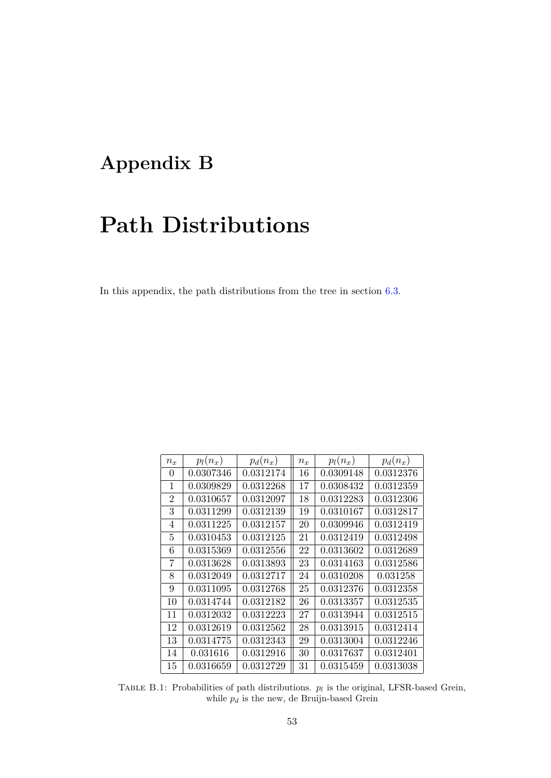## <span id="page-58-0"></span>**Appendix B**

## **Path Distributions**

In this appendix, the path distributions from the tree in section [6.3.](#page-35-0)

<span id="page-58-1"></span>

| $\boldsymbol{n_x}$ | $p_l(n_x)$ | $p_d(n_x)$ | $n_x$ | $p_l(n_x)$ | $p_d(n_x)$ |
|--------------------|------------|------------|-------|------------|------------|
| $\theta$           | 0.0307346  | 0.0312174  | 16    | 0.0309148  | 0.0312376  |
| 1                  | 0.0309829  | 0.0312268  | 17    | 0.0308432  | 0.0312359  |
| $\overline{2}$     | 0.0310657  | 0.0312097  | 18    | 0.0312283  | 0.0312306  |
| 3                  | 0.0311299  | 0.0312139  | 19    | 0.0310167  | 0.0312817  |
| 4                  | 0.0311225  | 0.0312157  | 20    | 0.0309946  | 0.0312419  |
| 5                  | 0.0310453  | 0.0312125  | 21    | 0.0312419  | 0.0312498  |
| 6                  | 0.0315369  | 0.0312556  | 22    | 0.0313602  | 0.0312689  |
| 7                  | 0.0313628  | 0.0313893  | 23    | 0.0314163  | 0.0312586  |
| 8                  | 0.0312049  | 0.0312717  | 24    | 0.0310208  | 0.031258   |
| 9                  | 0.0311095  | 0.0312768  | 25    | 0.0312376  | 0.0312358  |
| 10                 | 0.0314744  | 0.0312182  | 26    | 0.0313357  | 0.0312535  |
| 11                 | 0.0312032  | 0.0312223  | 27    | 0.0313944  | 0.0312515  |
| 12                 | 0.0312619  | 0.0312562  | 28    | 0.0313915  | 0.0312414  |
| 13                 | 0.0314775  | 0.0312343  | 29    | 0.0313004  | 0.0312246  |
| 14                 | 0.031616   | 0.0312916  | 30    | 0.0317637  | 0.0312401  |
| 15                 | 0.0316659  | 0.0312729  | 31    | 0.0315459  | 0.0313038  |

TABLE B.1: Probabilities of path distributions.  $p_l$  is the original, LFSR-based Grein, while  $p_d$  is the new, de Bruijn-based Grein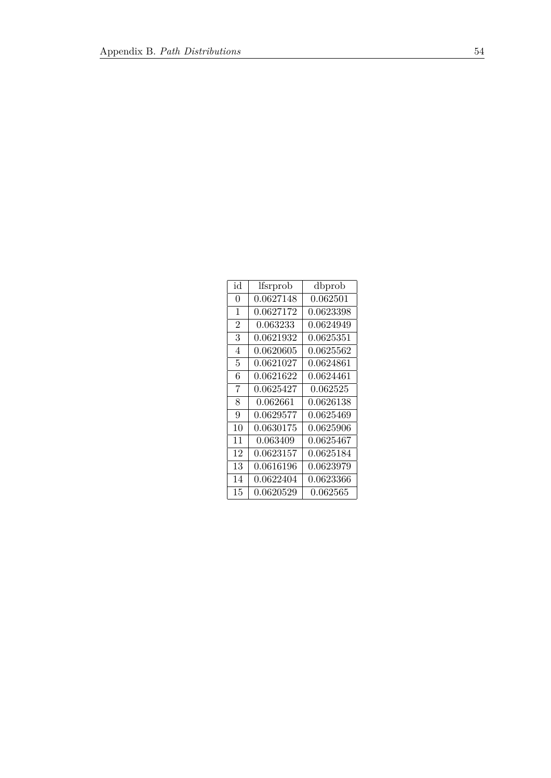| id             | lfsrprob        | dbprob    |
|----------------|-----------------|-----------|
| 0              | 0.0627148       | 0.062501  |
| 1              | 0.0627172       | 0.0623398 |
| $\overline{2}$ | 0.063233        | 0.0624949 |
| 3              | 0.0621932       | 0.0625351 |
| 4              | 0.0620605       | 0.0625562 |
| 5              | 0.0621027       | 0.0624861 |
| 6              | 0.0621622       | 0.0624461 |
| 7              | 0.0625427       | 0.062525  |
| 8              | 0.062661        | 0.0626138 |
| 9              | 0.0629577       | 0.0625469 |
| 10             | 0.0630175       | 0.0625906 |
| 11             | 0.063409        | 0.0625467 |
| 12             | 0.0623157       | 0.0625184 |
| 13             | $\,0.0616196\,$ | 0.0623979 |
| 14             | 0.0622404       | 0.0623366 |
| 15             | 0.0620529       | 0.062565  |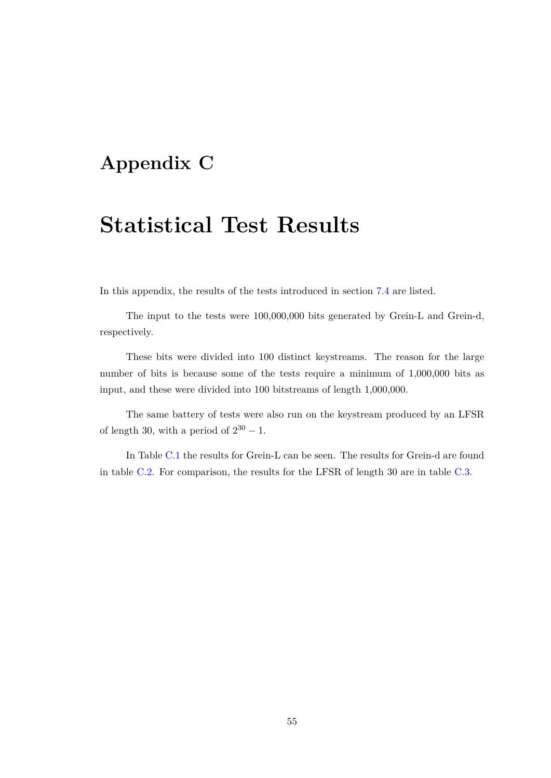## <span id="page-60-0"></span>**Appendix C**

## **Statistical Test Results**

In this appendix, the results of the tests introduced in section [7.4](#page-47-0) are listed.

The input to the tests were 100,000,000 bits generated by Grein-L and Grein-d, respectively.

These bits were divided into 100 distinct keystreams. The reason for the large number of bits is because some of the tests require a minimum of 1,000,000 bits as input, and these were divided into 100 bitstreams of length 1,000,000.

The same battery of tests were also run on the keystream produced by an LFSR of length 30, with a period of  $2^{30} - 1$ .

In Table [C.1](#page-61-0) the results for Grein-L can be seen. The results for Grein-d are found in table [C.2.](#page-62-0) For comparison, the results for the LFSR of length 30 are in table [C.3.](#page-62-0)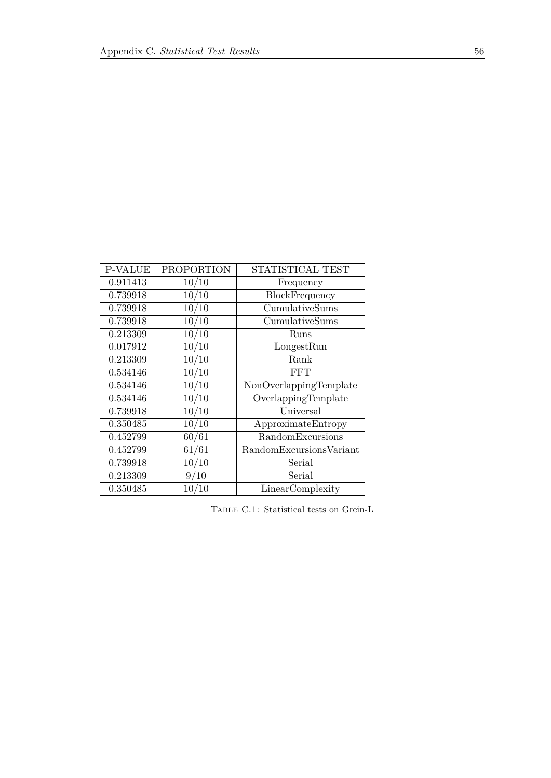<span id="page-61-0"></span>

| <b>P-VALUE</b> | <b>PROPORTION</b> | STATISTICAL TEST        |
|----------------|-------------------|-------------------------|
| 0.911413       | 10/10             | Frequency               |
| 0.739918       | 10/10             | BlockFrequency          |
| 0.739918       | 10/10             | CumulativeSums          |
| 0.739918       | 10/10             | CumulativeSums          |
| 0.213309       | 10/10             | Runs                    |
| 0.017912       | 10/10             | LongestRun              |
| 0.213309       | 10/10             | Rank                    |
| 0.534146       | 10/10             | <b>FFT</b>              |
| 0.534146       | 10/10             | NonOverlappingTemplate  |
| 0.534146       | 10/10             | OverlappingTemplate     |
| 0.739918       | 10/10             | Universal               |
| 0.350485       | 10/10             | ApproximateEntropy      |
| 0.452799       | 60/61             | RandomExcursions        |
| 0.452799       | 61/61             | RandomExcursionsVariant |
| 0.739918       | 10/10             | Serial                  |
| 0.213309       | 9/10              | Serial                  |
| 0.350485       | 10/10             | LinearComplexity        |

Table C.1: Statistical tests on Grein-L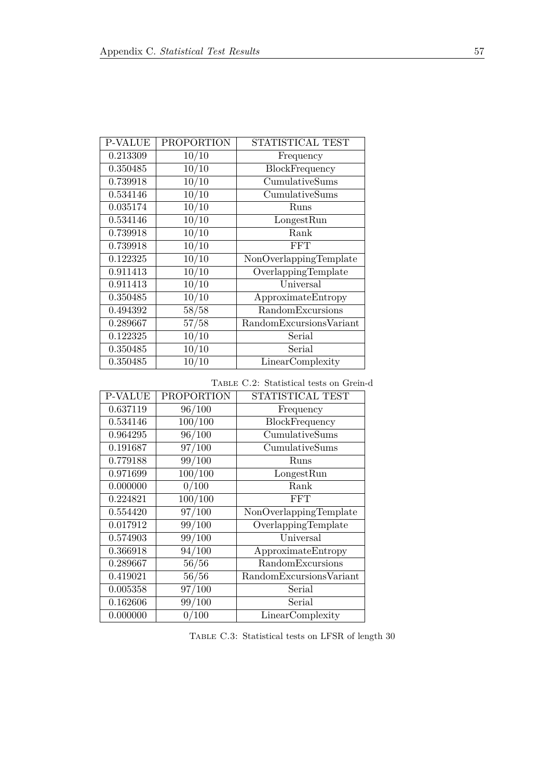<span id="page-62-0"></span>

| <b>P-VALUE</b> | <b>PROPORTION</b> | STATISTICAL TEST        |
|----------------|-------------------|-------------------------|
| 0.213309       | 10/10             | Frequency               |
| 0.350485       | 10/10             | BlockFrequency          |
| 0.739918       | 10/10             | CumulativeSums          |
| 0.534146       | 10/10             | CumulativeSums          |
| 0.035174       | 10/10             | Runs                    |
| 0.534146       | 10/10             | LongestRun              |
| 0.739918       | 10/10             | Rank                    |
| 0.739918       | 10/10             | <b>FFT</b>              |
| 0.122325       | 10/10             | NonOverlappingTemplate  |
| 0.911413       | 10/10             | OverlappingTemplate     |
| 0.911413       | 10/10             | Universal               |
| 0.350485       | 10/10             | ApproximateEntropy      |
| 0.494392       | 58/58             | RandomExcursions        |
| 0.289667       | 57/58             | RandomExcursionsVariant |
| 0.122325       | 10/10             | Serial                  |
| 0.350485       | 10/10             | Serial                  |
| 0.350485       | 10/10             | LinearComplexity        |

Table C.2: Statistical tests on Grein-d

| <b>P-VALUE</b> | <b>PROPORTION</b> | STATISTICAL TEST        |
|----------------|-------------------|-------------------------|
| 0.637119       | 96/100            | Frequency               |
| 0.534146       | 100/100           | BlockFrequency          |
| 0.964295       | 96/100            | CumulativeSums          |
| 0.191687       | 97/100            | CumulativeSums          |
| 0.779188       | 99/100            | Runs                    |
| 0.971699       | 100/100           | LongestRun              |
| 0.000000       | 0/100             | Rank                    |
| 0.224821       | 100/100           | <b>FFT</b>              |
| 0.554420       | 97/100            | NonOverlappingTemplate  |
| 0.017912       | 99/100            | OverlappingTemplate     |
| 0.574903       | 99/100            | Universal               |
| 0.366918       | 94/100            | ApproximateEntropy      |
| 0.289667       | 56/56             | RandomExcursions        |
| 0.419021       | 56/56             | RandomExcursionsVariant |
| 0.005358       | 97/100            | Serial                  |
| 0.162606       | 99/100            | Serial                  |
| 0.000000       | 0/100             | LinearComplexity        |

Table C.3: Statistical tests on LFSR of length 30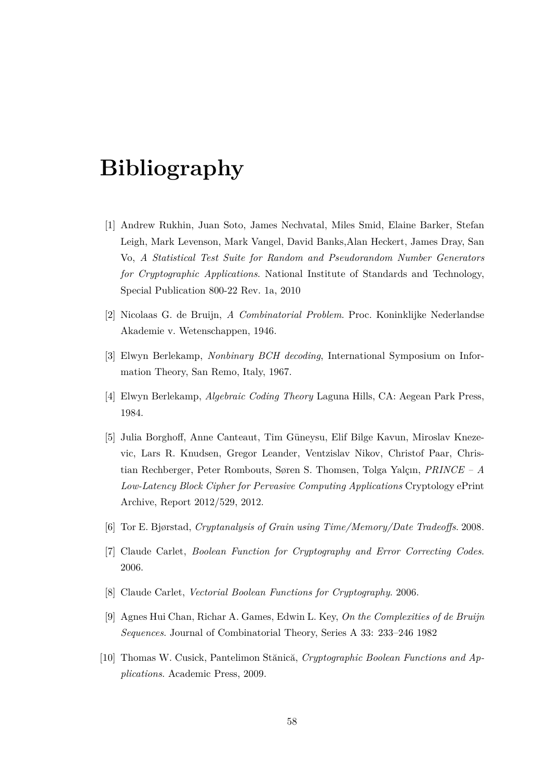## <span id="page-63-0"></span>**Bibliography**

- <span id="page-63-9"></span>[1] Andrew Rukhin, Juan Soto, James Nechvatal, Miles Smid, Elaine Barker, Stefan Leigh, Mark Levenson, Mark Vangel, David Banks,Alan Heckert, James Dray, San Vo, *A Statistical Test Suite for Random and Pseudorandom Number Generators for Cryptographic Applications*. National Institute of Standards and Technology, Special Publication 800-22 Rev. 1a, 2010
- <span id="page-63-4"></span>[2] Nicolaas G. de Bruijn, *A Combinatorial Problem*. Proc. Koninklijke Nederlandse Akademie v. Wetenschappen, 1946.
- <span id="page-63-2"></span>[3] Elwyn Berlekamp, *Nonbinary BCH decoding*, International Symposium on Information Theory, San Remo, Italy, 1967.
- <span id="page-63-3"></span>[4] Elwyn Berlekamp, *Algebraic Coding Theory* Laguna Hills, CA: Aegean Park Press, 1984.
- <span id="page-63-8"></span>[5] Julia Borghoff, Anne Canteaut, Tim G¨uneysu, Elif Bilge Kavun, Miroslav Knezevic, Lars R. Knudsen, Gregor Leander, Ventzislav Nikov, Christof Paar, Christian Rechberger, Peter Rombouts, Søren S. Thomsen, Tolga Yalçın, *PRINCE – A Low-Latency Block Cipher for Pervasive Computing Applications* Cryptology ePrint Archive, Report 2012/529, 2012.
- <span id="page-63-7"></span>[6] Tor E. Bjørstad, *Cryptanalysis of Grain using Time/Memory/Date Tradeoffs*. 2008.
- [7] Claude Carlet, *Boolean Function for Cryptography and Error Correcting Codes*. 2006.
- <span id="page-63-6"></span>[8] Claude Carlet, *Vectorial Boolean Functions for Cryptography*. 2006.
- <span id="page-63-5"></span>[9] Agnes Hui Chan, Richar A. Games, Edwin L. Key, *On the Complexities of de Bruijn Sequences*. Journal of Combinatorial Theory, Series A 33: 233–246 1982
- <span id="page-63-1"></span>[10] Thomas W. Cusick, Pantelimon Stănică, *Cryptographic Boolean Functions and Applications*. Academic Press, 2009.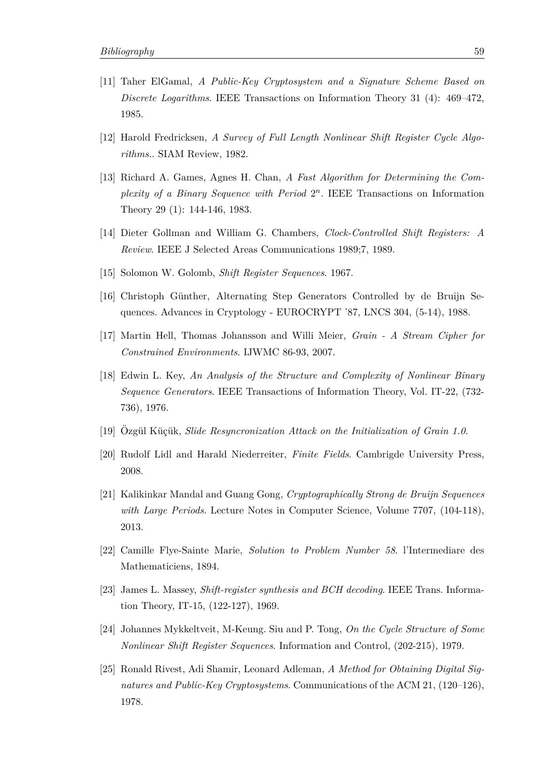- <span id="page-64-1"></span>[11] Taher ElGamal, *A Public-Key Cryptosystem and a Signature Scheme Based on Discrete Logarithms*. IEEE Transactions on Information Theory 31 (4): 469–472, 1985.
- <span id="page-64-4"></span>[12] Harold Fredricksen, *A Survey of Full Length Nonlinear Shift Register Cycle Algorithms.*. SIAM Review, 1982.
- [13] Richard A. Games, Agnes H. Chan, *A Fast Algorithm for Determining the Com*plexity of a Binary Sequence with Period  $2^n$ . IEEE Transactions on Information Theory 29 (1): 144-146, 1983.
- <span id="page-64-6"></span>[14] Dieter Gollman and William G. Chambers, *Clock-Controlled Shift Registers: A Review*. IEEE J Selected Areas Communications 1989;7, 1989.
- [15] Solomon W. Golomb, *Shift Register Sequences*. 1967.
- <span id="page-64-7"></span>[16] Christoph Günther, Alternating Step Generators Controlled by de Bruijn Sequences. Advances in Cryptology - EUROCRYPT '87, LNCS 304, (5-14), 1988.
- [17] Martin Hell, Thomas Johansson and Willi Meier, *Grain A Stream Cipher for Constrained Environments*. IJWMC 86-93, 2007.
- <span id="page-64-5"></span>[18] Edwin L. Key, *An Analysis of the Structure and Complexity of Nonlinear Binary Sequence Generators*. IEEE Transactions of Information Theory, Vol. IT-22, (732- 736), 1976.
- <span id="page-64-8"></span>[19] Ozgül Küçük, *Slide Resyncronization Attack on the Initialization of Grain 1.0*.
- [20] Rudolf Lidl and Harald Niederreiter, *Finite Fields*. Cambrigde University Press, 2008.
- <span id="page-64-10"></span>[21] Kalikinkar Mandal and Guang Gong, *Cryptographically Strong de Bruijn Sequences with Large Periods*. Lecture Notes in Computer Science, Volume 7707, (104-118), 2013.
- <span id="page-64-3"></span>[22] Camille Flye-Sainte Marie, *Solution to Problem Number 58*. l'Intermediare des Mathematiciens, 1894.
- <span id="page-64-2"></span>[23] James L. Massey, *Shift-register synthesis and BCH decoding*. IEEE Trans. Information Theory, IT-15, (122-127), 1969.
- <span id="page-64-9"></span>[24] Johannes Mykkeltveit, M-Keung. Siu and P. Tong, *On the Cycle Structure of Some Nonlinear Shift Register Sequences*. Information and Control, (202-215), 1979.
- <span id="page-64-0"></span>[25] Ronald Rivest, Adi Shamir, Leonard Adleman, *A Method for Obtaining Digital Signatures and Public-Key Cryptosystems*. Communications of the ACM 21, (120–126), 1978.